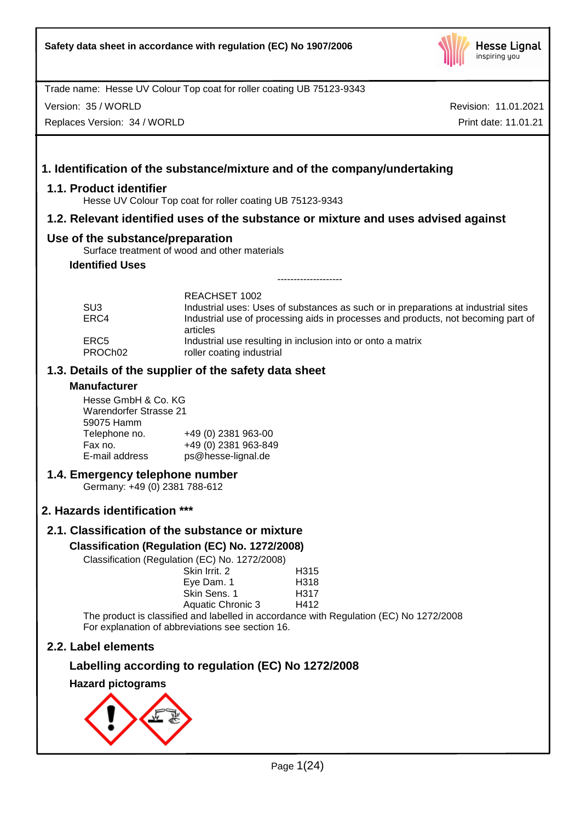

Version: 35 / WORLD

Replaces Version: 34 / WORLD

Revision: 11.01.2021 Print date: 11.01.21

# **1. Identification of the substance/mixture and of the company/undertaking**

# **1.1. Product identifier**

Hesse UV Colour Top coat for roller coating UB 75123-9343

# **1.2. Relevant identified uses of the substance or mixture and uses advised against**

# **Use of the substance/preparation**

Surface treatment of wood and other materials

# **Identified Uses**

|                     | REACHSET 1002                                                                                 |
|---------------------|-----------------------------------------------------------------------------------------------|
| SU <sub>3</sub>     | Industrial uses: Uses of substances as such or in preparations at industrial sites            |
| ERC4                | Industrial use of processing aids in processes and products, not becoming part of<br>articles |
| ERC5                | Industrial use resulting in inclusion into or onto a matrix                                   |
| PROCh <sub>02</sub> | roller coating industrial                                                                     |

--------------------

# **1.3. Details of the supplier of the safety data sheet**

## **Manufacturer**

Hesse GmbH & Co. KG Warendorfer Strasse 21 59075 Hamm Telephone no. +49 (0) 2381 963-00<br>Fax no. +49 (0) 2381 963-84 Fax no. +49 (0) 2381 963-849 ps@hesse-lignal.de

# **1.4. Emergency telephone number**

Germany: +49 (0) 2381 788-612

# **2. Hazards identification \*\*\***

# **2.1. Classification of the substance or mixture**

# **Classification (Regulation (EC) No. 1272/2008)**

Classification (Regulation (EC) No. 1272/2008)

| Skin Irrit. 2            | H315 |
|--------------------------|------|
| Eye Dam. 1               | H318 |
| Skin Sens, 1             | H317 |
| <b>Aquatic Chronic 3</b> | H412 |
|                          |      |

The product is classified and labelled in accordance with Regulation (EC) No 1272/2008 For explanation of abbreviations see section 16.

# **2.2. Label elements**

# **Labelling according to regulation (EC) No 1272/2008**

## **Hazard pictograms**

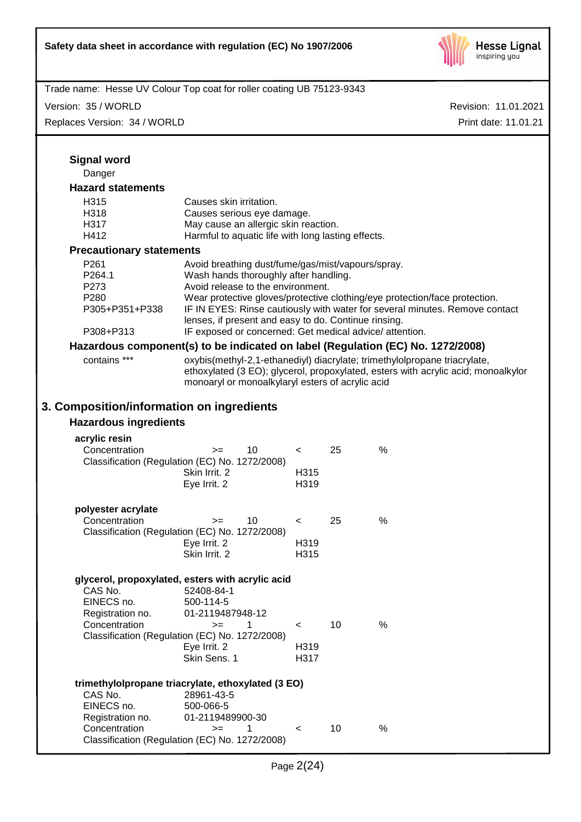

| Trade name: Hesse UV Colour Top coat for roller coating UB 75123-9343           |                                                      |                                                                                            |         |    |                                                                            |                                                                                   |
|---------------------------------------------------------------------------------|------------------------------------------------------|--------------------------------------------------------------------------------------------|---------|----|----------------------------------------------------------------------------|-----------------------------------------------------------------------------------|
| Version: 35 / WORLD                                                             |                                                      |                                                                                            |         |    |                                                                            | Revision: 11.01.2021                                                              |
| Replaces Version: 34 / WORLD                                                    |                                                      |                                                                                            |         |    |                                                                            | Print date: 11.01.21                                                              |
|                                                                                 |                                                      |                                                                                            |         |    |                                                                            |                                                                                   |
| <b>Signal word</b>                                                              |                                                      |                                                                                            |         |    |                                                                            |                                                                                   |
| Danger                                                                          |                                                      |                                                                                            |         |    |                                                                            |                                                                                   |
| <b>Hazard statements</b>                                                        |                                                      |                                                                                            |         |    |                                                                            |                                                                                   |
| H <sub>315</sub>                                                                | Causes skin irritation.                              |                                                                                            |         |    |                                                                            |                                                                                   |
| H318                                                                            | Causes serious eye damage.                           |                                                                                            |         |    |                                                                            |                                                                                   |
| H317                                                                            |                                                      | May cause an allergic skin reaction.<br>Harmful to aquatic life with long lasting effects. |         |    |                                                                            |                                                                                   |
| H412                                                                            |                                                      |                                                                                            |         |    |                                                                            |                                                                                   |
| <b>Precautionary statements</b>                                                 |                                                      |                                                                                            |         |    |                                                                            |                                                                                   |
| P <sub>261</sub>                                                                | Avoid breathing dust/fume/gas/mist/vapours/spray.    |                                                                                            |         |    |                                                                            |                                                                                   |
| P264.1                                                                          | Wash hands thoroughly after handling.                |                                                                                            |         |    |                                                                            |                                                                                   |
| P273                                                                            | Avoid release to the environment.                    |                                                                                            |         |    |                                                                            |                                                                                   |
| P280<br>P305+P351+P338                                                          |                                                      |                                                                                            |         |    | Wear protective gloves/protective clothing/eye protection/face protection. | IF IN EYES: Rinse cautiously with water for several minutes. Remove contact       |
|                                                                                 | lenses, if present and easy to do. Continue rinsing. |                                                                                            |         |    |                                                                            |                                                                                   |
| P308+P313                                                                       |                                                      |                                                                                            |         |    | IF exposed or concerned: Get medical advice/attention.                     |                                                                                   |
| Hazardous component(s) to be indicated on label (Regulation (EC) No. 1272/2008) |                                                      |                                                                                            |         |    |                                                                            |                                                                                   |
| contains ***                                                                    |                                                      |                                                                                            |         |    | oxybis(methyl-2,1-ethanediyl) diacrylate; trimethylolpropane triacrylate,  |                                                                                   |
|                                                                                 |                                                      |                                                                                            |         |    |                                                                            | ethoxylated (3 EO); glycerol, propoxylated, esters with acrylic acid; monoalkylor |
|                                                                                 | monoaryl or monoalkylaryl esters of acrylic acid     |                                                                                            |         |    |                                                                            |                                                                                   |
|                                                                                 |                                                      |                                                                                            |         |    |                                                                            |                                                                                   |
| 3. Composition/information on ingredients                                       |                                                      |                                                                                            |         |    |                                                                            |                                                                                   |
| <b>Hazardous ingredients</b>                                                    |                                                      |                                                                                            |         |    |                                                                            |                                                                                   |
| acrylic resin                                                                   |                                                      |                                                                                            |         |    |                                                                            |                                                                                   |
| Concentration                                                                   | $=$                                                  | 10                                                                                         | $\prec$ | 25 | $\%$                                                                       |                                                                                   |
| Classification (Regulation (EC) No. 1272/2008)                                  |                                                      |                                                                                            |         |    |                                                                            |                                                                                   |
|                                                                                 | Skin Irrit. 2                                        |                                                                                            | H315    |    |                                                                            |                                                                                   |
|                                                                                 | Eye Irrit. 2                                         |                                                                                            | H319    |    |                                                                            |                                                                                   |
|                                                                                 |                                                      |                                                                                            |         |    |                                                                            |                                                                                   |
| polyester acrylate<br>Concentration                                             | $>=$                                                 | 10                                                                                         |         | 25 | $\%$                                                                       |                                                                                   |
| Classification (Regulation (EC) No. 1272/2008)                                  |                                                      |                                                                                            | $\,<\,$ |    |                                                                            |                                                                                   |
|                                                                                 | Eye Irrit. 2                                         |                                                                                            | H319    |    |                                                                            |                                                                                   |
|                                                                                 | Skin Irrit. 2                                        |                                                                                            | H315    |    |                                                                            |                                                                                   |
|                                                                                 |                                                      |                                                                                            |         |    |                                                                            |                                                                                   |
| glycerol, propoxylated, esters with acrylic acid                                |                                                      |                                                                                            |         |    |                                                                            |                                                                                   |
| CAS No.                                                                         | 52408-84-1                                           |                                                                                            |         |    |                                                                            |                                                                                   |
| EINECS no.                                                                      | 500-114-5                                            |                                                                                            |         |    |                                                                            |                                                                                   |
| Registration no.                                                                | 01-2119487948-12                                     |                                                                                            |         |    |                                                                            |                                                                                   |
| Concentration<br>Classification (Regulation (EC) No. 1272/2008)                 | $>=$                                                 | 1                                                                                          | $\,<\,$ | 10 | $\%$                                                                       |                                                                                   |
|                                                                                 | Eye Irrit. 2                                         |                                                                                            | H319    |    |                                                                            |                                                                                   |
|                                                                                 | Skin Sens. 1                                         |                                                                                            | H317    |    |                                                                            |                                                                                   |
|                                                                                 |                                                      |                                                                                            |         |    |                                                                            |                                                                                   |
| trimethylolpropane triacrylate, ethoxylated (3 EO)                              |                                                      |                                                                                            |         |    |                                                                            |                                                                                   |
| CAS No.<br>EINECS no.                                                           | 28961-43-5<br>500-066-5                              |                                                                                            |         |    |                                                                            |                                                                                   |
| Registration no.                                                                | 01-2119489900-30                                     |                                                                                            |         |    |                                                                            |                                                                                   |
| Concentration                                                                   | $>=$                                                 | 1                                                                                          | $\,<\,$ | 10 | $\%$                                                                       |                                                                                   |
| Classification (Regulation (EC) No. 1272/2008)                                  |                                                      |                                                                                            |         |    |                                                                            |                                                                                   |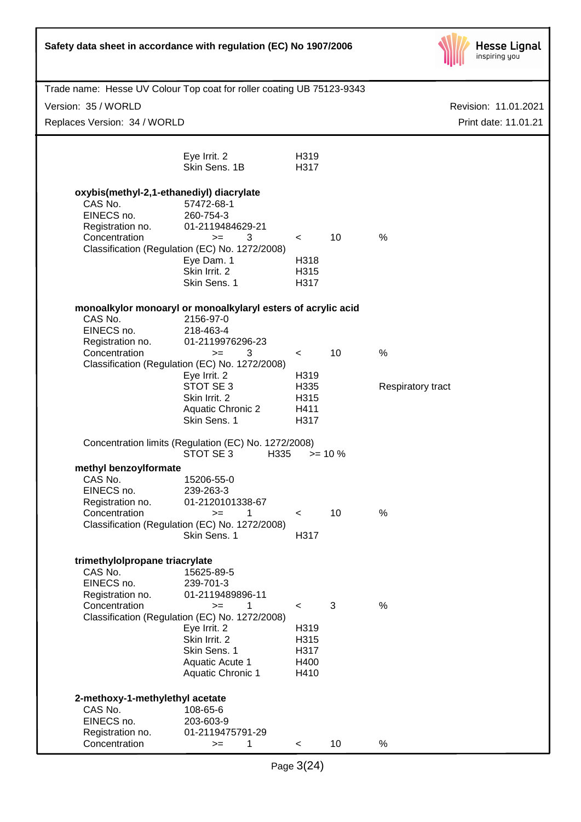| Safety data sheet in accordance with regulation (EC) No 1907/2006     |                                                                           |              |            | <b>Hesse Lignal</b><br>inspiring you |
|-----------------------------------------------------------------------|---------------------------------------------------------------------------|--------------|------------|--------------------------------------|
| Trade name: Hesse UV Colour Top coat for roller coating UB 75123-9343 |                                                                           |              |            |                                      |
| Version: 35 / WORLD                                                   |                                                                           |              |            | Revision: 11.01.2021                 |
| Replaces Version: 34 / WORLD                                          |                                                                           |              |            | Print date: 11.01.21                 |
|                                                                       |                                                                           |              |            |                                      |
|                                                                       | Eye Irrit. 2<br>Skin Sens. 1B                                             | H319<br>H317 |            |                                      |
| oxybis(methyl-2,1-ethanediyl) diacrylate                              |                                                                           |              |            |                                      |
| CAS No.                                                               | 57472-68-1                                                                |              |            |                                      |
| EINECS no.<br>Registration no.                                        | 260-754-3<br>01-2119484629-21                                             |              |            |                                      |
| Concentration                                                         | 3<br>$>=$                                                                 | $\lt$        | 10         | $\%$                                 |
|                                                                       | Classification (Regulation (EC) No. 1272/2008)                            |              |            |                                      |
|                                                                       | Eye Dam. 1<br>Skin Irrit. 2                                               | H318<br>H315 |            |                                      |
|                                                                       | Skin Sens. 1                                                              | H317         |            |                                      |
|                                                                       |                                                                           |              |            |                                      |
| CAS No.                                                               | monoalkylor monoaryl or monoalkylaryl esters of acrylic acid<br>2156-97-0 |              |            |                                      |
| EINECS no.                                                            | 218-463-4                                                                 |              |            |                                      |
| Registration no.                                                      | 01-2119976296-23                                                          |              |            |                                      |
| Concentration                                                         | 3<br>$=$                                                                  | $\prec$      | 10         | %                                    |
|                                                                       | Classification (Regulation (EC) No. 1272/2008)<br>Eye Irrit. 2            | H319         |            |                                      |
|                                                                       | STOT SE 3                                                                 | H335         |            | Respiratory tract                    |
|                                                                       | Skin Irrit. 2                                                             | H315         |            |                                      |
|                                                                       | <b>Aquatic Chronic 2</b><br>Skin Sens. 1                                  | H411<br>H317 |            |                                      |
|                                                                       |                                                                           |              |            |                                      |
|                                                                       | Concentration limits (Regulation (EC) No. 1272/2008)<br>STOT SE 3<br>H335 |              | $>= 10 \%$ |                                      |
| methyl benzoylformate<br>CAS No.                                      | 15206-55-0                                                                |              |            |                                      |
| EINECS no.                                                            | 239-263-3                                                                 |              |            |                                      |
| Registration no.                                                      | 01-2120101338-67                                                          |              |            |                                      |
| Concentration                                                         | $>=$<br>1<br>Classification (Regulation (EC) No. 1272/2008)               | $\prec$      | 10         | %                                    |
|                                                                       | Skin Sens. 1                                                              | H317         |            |                                      |
|                                                                       |                                                                           |              |            |                                      |
| trimethylolpropane triacrylate                                        |                                                                           |              |            |                                      |
| CAS No.<br>EINECS no.                                                 | 15625-89-5<br>239-701-3                                                   |              |            |                                      |
| Registration no.                                                      | 01-2119489896-11                                                          |              |            |                                      |
| Concentration                                                         | 1<br>$>=$                                                                 | $\prec$      | 3          | $\frac{0}{0}$                        |
|                                                                       | Classification (Regulation (EC) No. 1272/2008)                            |              |            |                                      |
|                                                                       | Eye Irrit. 2<br>Skin Irrit. 2                                             | H319<br>H315 |            |                                      |
|                                                                       | Skin Sens. 1                                                              | H317         |            |                                      |
|                                                                       | Aquatic Acute 1                                                           | H400         |            |                                      |
|                                                                       | <b>Aquatic Chronic 1</b>                                                  | H410         |            |                                      |
| 2-methoxy-1-methylethyl acetate                                       |                                                                           |              |            |                                      |
| CAS No.                                                               | 108-65-6                                                                  |              |            |                                      |
| EINECS no.<br>Registration no.                                        | 203-603-9<br>01-2119475791-29                                             |              |            |                                      |
| Concentration                                                         | 1<br>$>=$                                                                 | $\,<\,$      | 10         | %                                    |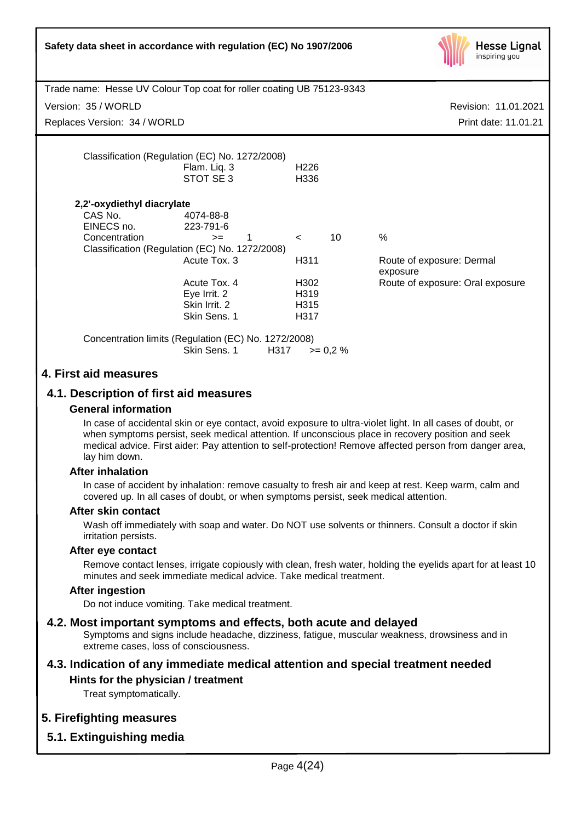| Safety data sheet in accordance with regulation (EC) No 1907/2006                             |                                                                                                                                                                                                                                                                   |                                                 |                  | <b>Hesse Lignal</b><br>inspiring you                                                                                                                                                                            |
|-----------------------------------------------------------------------------------------------|-------------------------------------------------------------------------------------------------------------------------------------------------------------------------------------------------------------------------------------------------------------------|-------------------------------------------------|------------------|-----------------------------------------------------------------------------------------------------------------------------------------------------------------------------------------------------------------|
| Trade name: Hesse UV Colour Top coat for roller coating UB 75123-9343                         |                                                                                                                                                                                                                                                                   |                                                 |                  |                                                                                                                                                                                                                 |
| Version: 35 / WORLD                                                                           |                                                                                                                                                                                                                                                                   |                                                 |                  | Revision: 11.01.2021                                                                                                                                                                                            |
| Replaces Version: 34 / WORLD                                                                  |                                                                                                                                                                                                                                                                   |                                                 |                  | Print date: 11.01.21                                                                                                                                                                                            |
|                                                                                               | Classification (Regulation (EC) No. 1272/2008)<br>Flam. Liq. 3<br>STOT SE 3                                                                                                                                                                                       | H <sub>226</sub><br>H336                        |                  |                                                                                                                                                                                                                 |
| 2,2'-oxydiethyl diacrylate<br>CAS No.<br>EINECS no.<br>Concentration                          | 4074-88-8<br>223-791-6<br>$\mathbf{1}$<br>$>=$<br>Classification (Regulation (EC) No. 1272/2008)<br>Acute Tox. 3<br>Acute Tox. 4<br>Eye Irrit. 2<br>Skin Irrit. 2<br>Skin Sens. 1<br>Concentration limits (Regulation (EC) No. 1272/2008)<br>Skin Sens. 1<br>H317 | $\prec$<br>H311<br>H302<br>H319<br>H315<br>H317 | 10<br>$>= 0.2 %$ | $\%$<br>Route of exposure: Dermal<br>exposure<br>Route of exposure: Oral exposure                                                                                                                               |
| 4. First aid measures<br>4.1. Description of first aid measures<br><b>General information</b> |                                                                                                                                                                                                                                                                   |                                                 |                  | In case of accidental skin or eye contact, avoid exposure to ultra-violet light. In all cases of doubt, or<br>when symptoms persist, seek medical attention. If unconscious place in recovery position and seek |

## **After inhalation**

In case of accident by inhalation: remove casualty to fresh air and keep at rest. Keep warm, calm and covered up. In all cases of doubt, or when symptoms persist, seek medical attention.

#### **After skin contact**

Wash off immediately with soap and water. Do NOT use solvents or thinners. Consult a doctor if skin irritation persists.

#### **After eye contact**

Remove contact lenses, irrigate copiously with clean, fresh water, holding the eyelids apart for at least 10 minutes and seek immediate medical advice. Take medical treatment.

#### **After ingestion**

Do not induce vomiting. Take medical treatment.

#### **4.2. Most important symptoms and effects, both acute and delayed**

Symptoms and signs include headache, dizziness, fatigue, muscular weakness, drowsiness and in extreme cases, loss of consciousness.

# **4.3. Indication of any immediate medical attention and special treatment needed Hints for the physician / treatment**

Treat symptomatically.

#### **5. Firefighting measures**

## **5.1. Extinguishing media**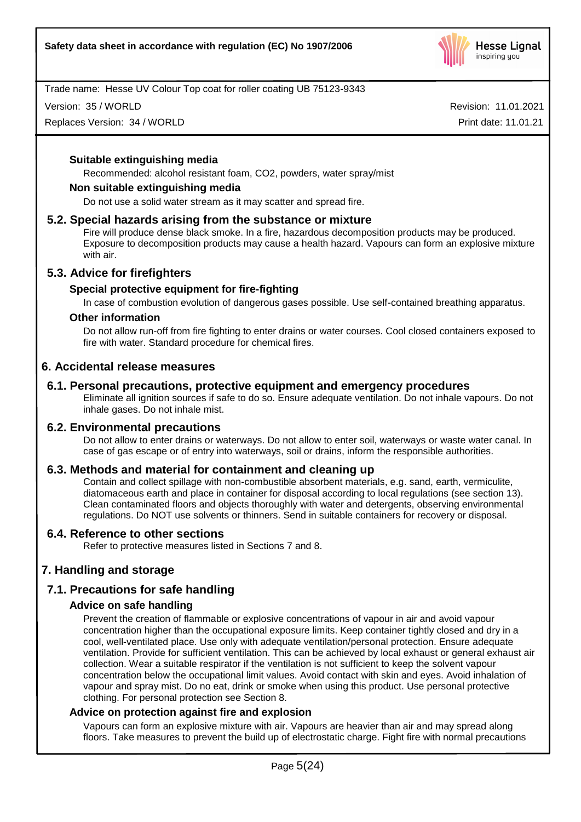

Version: 35 / WORLD

Replaces Version: 34 / WORLD

Revision: 11.01.2021 Print date: 11.01.21

## **Suitable extinguishing media**

Recommended: alcohol resistant foam, CO2, powders, water spray/mist

#### **Non suitable extinguishing media**

Do not use a solid water stream as it may scatter and spread fire.

#### **5.2. Special hazards arising from the substance or mixture**

Fire will produce dense black smoke. In a fire, hazardous decomposition products may be produced. Exposure to decomposition products may cause a health hazard. Vapours can form an explosive mixture with air.

## **5.3. Advice for firefighters**

## **Special protective equipment for fire-fighting**

In case of combustion evolution of dangerous gases possible. Use self-contained breathing apparatus.

#### **Other information**

Do not allow run-off from fire fighting to enter drains or water courses. Cool closed containers exposed to fire with water. Standard procedure for chemical fires.

## **6. Accidental release measures**

# **6.1. Personal precautions, protective equipment and emergency procedures**

Eliminate all ignition sources if safe to do so. Ensure adequate ventilation. Do not inhale vapours. Do not inhale gases. Do not inhale mist.

## **6.2. Environmental precautions**

Do not allow to enter drains or waterways. Do not allow to enter soil, waterways or waste water canal. In case of gas escape or of entry into waterways, soil or drains, inform the responsible authorities.

## **6.3. Methods and material for containment and cleaning up**

Contain and collect spillage with non-combustible absorbent materials, e.g. sand, earth, vermiculite, diatomaceous earth and place in container for disposal according to local regulations (see section 13). Clean contaminated floors and objects thoroughly with water and detergents, observing environmental regulations. Do NOT use solvents or thinners. Send in suitable containers for recovery or disposal.

## **6.4. Reference to other sections**

Refer to protective measures listed in Sections 7 and 8.

# **7. Handling and storage**

# **7.1. Precautions for safe handling**

## **Advice on safe handling**

Prevent the creation of flammable or explosive concentrations of vapour in air and avoid vapour concentration higher than the occupational exposure limits. Keep container tightly closed and dry in a cool, well-ventilated place. Use only with adequate ventilation/personal protection. Ensure adequate ventilation. Provide for sufficient ventilation. This can be achieved by local exhaust or general exhaust air collection. Wear a suitable respirator if the ventilation is not sufficient to keep the solvent vapour concentration below the occupational limit values. Avoid contact with skin and eyes. Avoid inhalation of vapour and spray mist. Do no eat, drink or smoke when using this product. Use personal protective clothing. For personal protection see Section 8.

## **Advice on protection against fire and explosion**

Vapours can form an explosive mixture with air. Vapours are heavier than air and may spread along floors. Take measures to prevent the build up of electrostatic charge. Fight fire with normal precautions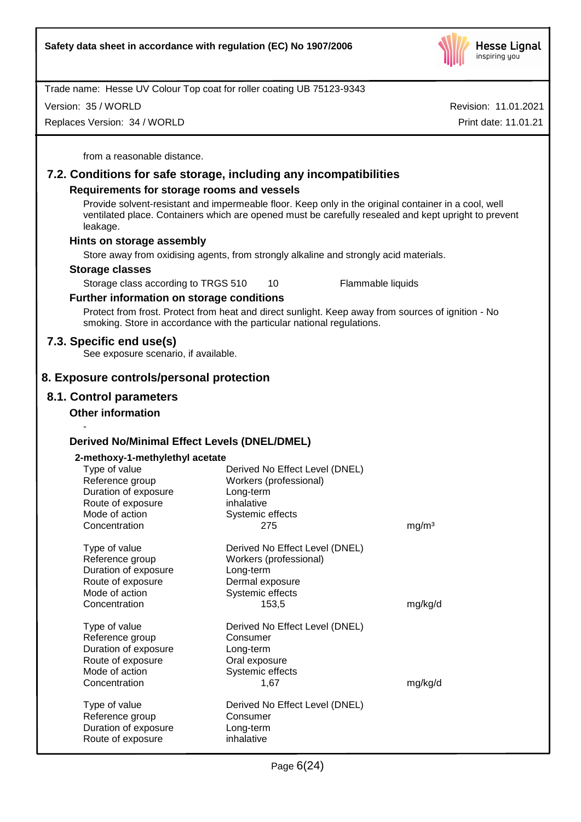

Version: 35 / WORLD

Replaces Version: 34 / WORLD

Revision: 11.01.2021 Print date: 11.01.21

from a reasonable distance.

# **7.2. Conditions for safe storage, including any incompatibilities**

## **Requirements for storage rooms and vessels**

Provide solvent-resistant and impermeable floor. Keep only in the original container in a cool, well ventilated place. Containers which are opened must be carefully resealed and kept upright to prevent leakage.

## **Hints on storage assembly**

Store away from oxidising agents, from strongly alkaline and strongly acid materials.

#### **Storage classes**

Storage class according to TRGS 510 10 Flammable liquids

# **Further information on storage conditions**

Protect from frost. Protect from heat and direct sunlight. Keep away from sources of ignition - No smoking. Store in accordance with the particular national regulations.

# **7.3. Specific end use(s)**

See exposure scenario, if available.

# **8. Exposure controls/personal protection**

# **8.1. Control parameters**

-

# **Other information**

# **Derived No/Minimal Effect Levels (DNEL/DMEL)**

#### **2-methoxy-1-methylethyl acetate**

| Type of value<br>Reference group<br>Duration of exposure<br>Route of exposure<br>Mode of action<br>Concentration | Derived No Effect Level (DNEL)<br>Workers (professional)<br>Long-term<br>inhalative<br>Systemic effects<br>275        | mg/m <sup>3</sup> |
|------------------------------------------------------------------------------------------------------------------|-----------------------------------------------------------------------------------------------------------------------|-------------------|
| Type of value<br>Reference group<br>Duration of exposure<br>Route of exposure<br>Mode of action<br>Concentration | Derived No Effect Level (DNEL)<br>Workers (professional)<br>Long-term<br>Dermal exposure<br>Systemic effects<br>153,5 | mg/kg/d           |
| Type of value<br>Reference group<br>Duration of exposure<br>Route of exposure<br>Mode of action<br>Concentration | Derived No Effect Level (DNEL)<br>Consumer<br>Long-term<br>Oral exposure<br>Systemic effects<br>1,67                  | mg/kg/d           |
| Type of value<br>Reference group<br>Duration of exposure<br>Route of exposure                                    | Derived No Effect Level (DNEL)<br>Consumer<br>Long-term<br>inhalative                                                 |                   |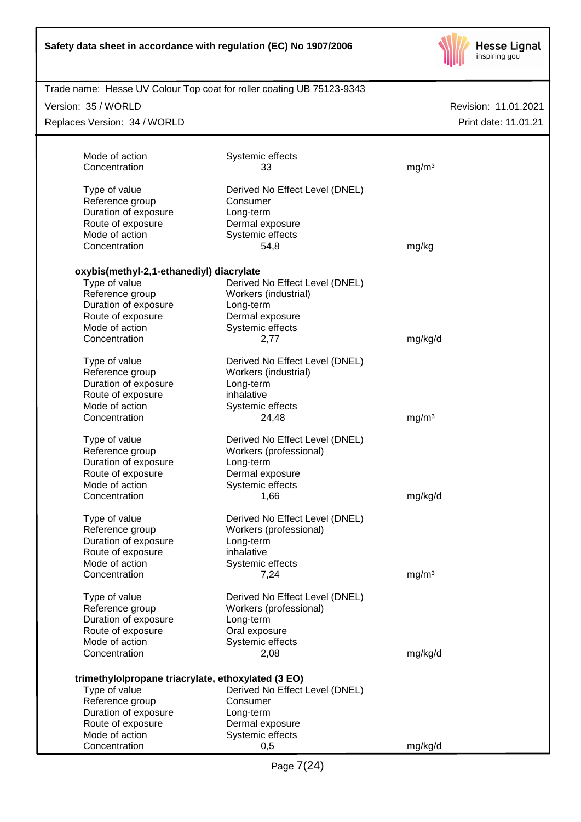

| Version: 35 / WORLD                                |                                | Revision: 11.01.2021 |
|----------------------------------------------------|--------------------------------|----------------------|
| Replaces Version: 34 / WORLD                       |                                | Print date: 11.01.21 |
| Mode of action                                     | Systemic effects               |                      |
| Concentration                                      | 33                             | mg/m <sup>3</sup>    |
|                                                    |                                |                      |
| Type of value                                      | Derived No Effect Level (DNEL) |                      |
| Reference group                                    | Consumer                       |                      |
| Duration of exposure                               | Long-term                      |                      |
| Route of exposure                                  | Dermal exposure                |                      |
| Mode of action                                     | Systemic effects               |                      |
| Concentration                                      | 54,8                           | mg/kg                |
| oxybis(methyl-2,1-ethanediyl) diacrylate           |                                |                      |
| Type of value                                      | Derived No Effect Level (DNEL) |                      |
| Reference group                                    | Workers (industrial)           |                      |
| Duration of exposure                               | Long-term                      |                      |
| Route of exposure                                  | Dermal exposure                |                      |
| Mode of action                                     | Systemic effects               |                      |
| Concentration                                      | 2,77                           | mg/kg/d              |
| Type of value                                      | Derived No Effect Level (DNEL) |                      |
| Reference group                                    | Workers (industrial)           |                      |
| Duration of exposure                               | Long-term                      |                      |
| Route of exposure                                  | inhalative                     |                      |
| Mode of action                                     | Systemic effects               |                      |
| Concentration                                      | 24,48                          | mg/m <sup>3</sup>    |
| Type of value                                      | Derived No Effect Level (DNEL) |                      |
| Reference group                                    | Workers (professional)         |                      |
| Duration of exposure                               | Long-term                      |                      |
| Route of exposure                                  | Dermal exposure                |                      |
| Mode of action                                     | Systemic effects               |                      |
| Concentration                                      | 1,66                           | mg/kg/d              |
|                                                    |                                |                      |
| Type of value                                      | Derived No Effect Level (DNEL) |                      |
| Reference group                                    | Workers (professional)         |                      |
| Duration of exposure                               | Long-term                      |                      |
| Route of exposure<br>Mode of action                | inhalative                     |                      |
| Concentration                                      | Systemic effects<br>7,24       | mg/m <sup>3</sup>    |
|                                                    |                                |                      |
| Type of value                                      | Derived No Effect Level (DNEL) |                      |
| Reference group                                    | Workers (professional)         |                      |
| Duration of exposure                               | Long-term                      |                      |
| Route of exposure                                  | Oral exposure                  |                      |
| Mode of action                                     | Systemic effects               |                      |
| Concentration                                      | 2,08                           | mg/kg/d              |
| trimethylolpropane triacrylate, ethoxylated (3 EO) |                                |                      |
| Type of value                                      | Derived No Effect Level (DNEL) |                      |
| Reference group                                    | Consumer                       |                      |
| Duration of exposure                               | Long-term                      |                      |
| Route of exposure                                  | Dermal exposure                |                      |
| Mode of action                                     | Systemic effects               |                      |
| Concentration                                      | 0,5                            | mg/kg/d              |
|                                                    |                                |                      |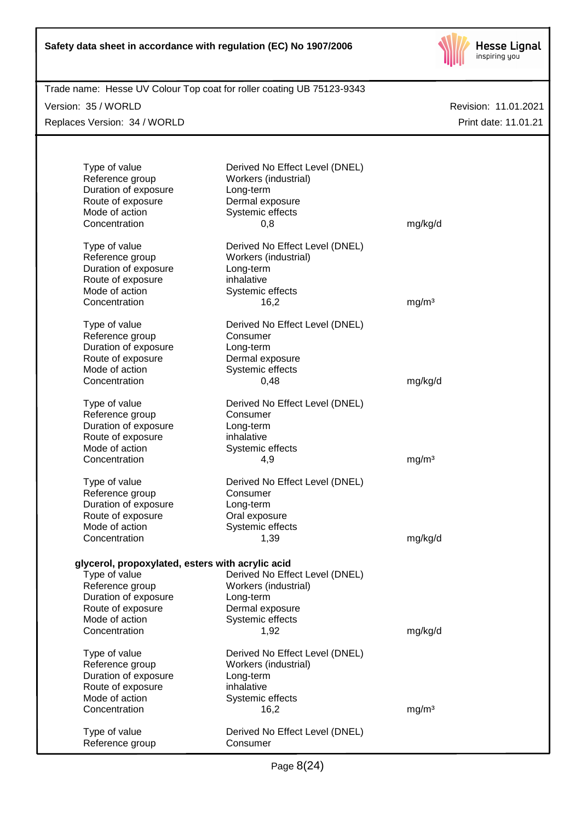

| Trade name: Hesse UV Colour Top coat for roller coating UB 75123-9343 |                                |                      |
|-----------------------------------------------------------------------|--------------------------------|----------------------|
| Version: 35 / WORLD                                                   |                                | Revision: 11.01.2021 |
| Replaces Version: 34 / WORLD                                          |                                | Print date: 11.01.21 |
|                                                                       |                                |                      |
|                                                                       |                                |                      |
| Type of value                                                         | Derived No Effect Level (DNEL) |                      |
| Reference group                                                       | Workers (industrial)           |                      |
| Duration of exposure                                                  | Long-term                      |                      |
| Route of exposure                                                     | Dermal exposure                |                      |
| Mode of action                                                        | Systemic effects               |                      |
| Concentration                                                         | 0,8                            | mg/kg/d              |
|                                                                       |                                |                      |
| Type of value                                                         | Derived No Effect Level (DNEL) |                      |
| Reference group                                                       | Workers (industrial)           |                      |
| Duration of exposure                                                  | Long-term                      |                      |
| Route of exposure                                                     | inhalative                     |                      |
| Mode of action                                                        | Systemic effects               |                      |
| Concentration                                                         | 16,2                           | mg/m <sup>3</sup>    |
|                                                                       |                                |                      |
| Type of value                                                         | Derived No Effect Level (DNEL) |                      |
| Reference group                                                       | Consumer                       |                      |
| Duration of exposure                                                  | Long-term                      |                      |
| Route of exposure                                                     | Dermal exposure                |                      |
| Mode of action                                                        | Systemic effects               |                      |
| Concentration                                                         | 0,48                           | mg/kg/d              |
| Type of value                                                         | Derived No Effect Level (DNEL) |                      |
| Reference group                                                       | Consumer                       |                      |
| Duration of exposure                                                  | Long-term                      |                      |
| Route of exposure                                                     | inhalative                     |                      |
| Mode of action                                                        |                                |                      |
| Concentration                                                         | Systemic effects               |                      |
|                                                                       | 4,9                            | mg/m <sup>3</sup>    |
| Type of value                                                         | Derived No Effect Level (DNEL) |                      |
| Reference group                                                       | Consumer                       |                      |
| Duration of exposure                                                  | Long-term                      |                      |
| Route of exposure                                                     | Oral exposure                  |                      |
| Mode of action                                                        | Systemic effects               |                      |
| Concentration                                                         | 1,39                           | mg/kg/d              |
|                                                                       |                                |                      |
| glycerol, propoxylated, esters with acrylic acid                      |                                |                      |
| Type of value                                                         | Derived No Effect Level (DNEL) |                      |
| Reference group                                                       | Workers (industrial)           |                      |
| Duration of exposure                                                  | Long-term                      |                      |
| Route of exposure                                                     | Dermal exposure                |                      |
| Mode of action                                                        | Systemic effects               |                      |
| Concentration                                                         | 1,92                           | mg/kg/d              |
|                                                                       |                                |                      |
| Type of value                                                         | Derived No Effect Level (DNEL) |                      |
| Reference group                                                       | Workers (industrial)           |                      |
| Duration of exposure                                                  | Long-term                      |                      |
| Route of exposure                                                     | inhalative                     |                      |
| Mode of action                                                        | Systemic effects               |                      |
| Concentration                                                         | 16,2                           | mg/m <sup>3</sup>    |
|                                                                       |                                |                      |
| Type of value                                                         | Derived No Effect Level (DNEL) |                      |
| Reference group                                                       | Consumer                       |                      |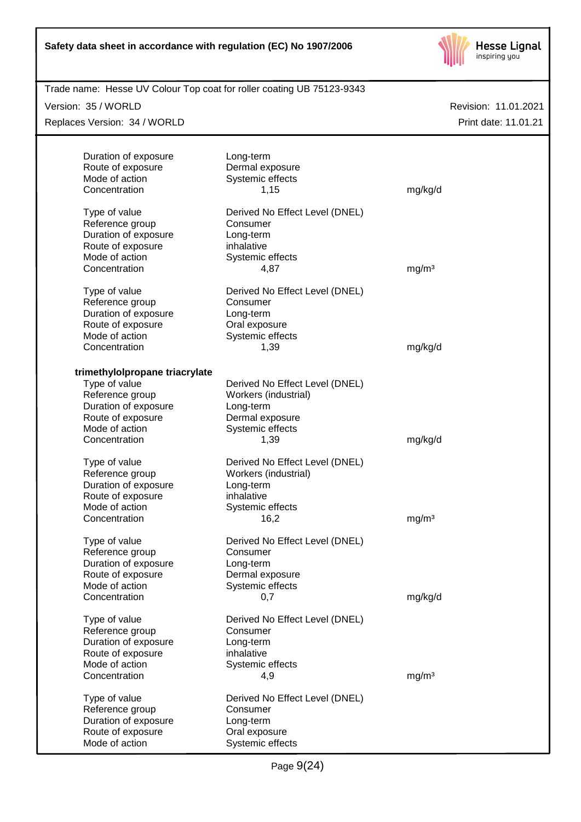

| Trade name: Hesse UV Colour Top coat for roller coating UB 75123-9343 |                                |                   |                      |
|-----------------------------------------------------------------------|--------------------------------|-------------------|----------------------|
| Version: 35 / WORLD                                                   |                                |                   | Revision: 11.01.2021 |
| Replaces Version: 34 / WORLD                                          |                                |                   | Print date: 11.01.21 |
|                                                                       |                                |                   |                      |
| Duration of exposure<br>Route of exposure                             | Long-term<br>Dermal exposure   |                   |                      |
| Mode of action                                                        | Systemic effects               |                   |                      |
| Concentration                                                         | 1,15                           | mg/kg/d           |                      |
| Type of value                                                         | Derived No Effect Level (DNEL) |                   |                      |
| Reference group                                                       | Consumer                       |                   |                      |
| Duration of exposure                                                  | Long-term                      |                   |                      |
| Route of exposure                                                     | inhalative                     |                   |                      |
| Mode of action                                                        | Systemic effects               |                   |                      |
| Concentration                                                         | 4,87                           | mg/m <sup>3</sup> |                      |
| Type of value                                                         | Derived No Effect Level (DNEL) |                   |                      |
| Reference group                                                       | Consumer                       |                   |                      |
| Duration of exposure                                                  | Long-term                      |                   |                      |
| Route of exposure                                                     | Oral exposure                  |                   |                      |
| Mode of action                                                        | Systemic effects               |                   |                      |
| Concentration                                                         | 1,39                           | mg/kg/d           |                      |
| trimethylolpropane triacrylate                                        |                                |                   |                      |
| Type of value                                                         | Derived No Effect Level (DNEL) |                   |                      |
| Reference group                                                       | Workers (industrial)           |                   |                      |
| Duration of exposure                                                  | Long-term                      |                   |                      |
| Route of exposure                                                     | Dermal exposure                |                   |                      |
| Mode of action                                                        | Systemic effects               |                   |                      |
| Concentration                                                         | 1,39                           | mg/kg/d           |                      |
| Type of value                                                         | Derived No Effect Level (DNEL) |                   |                      |
| Reference group                                                       | Workers (industrial)           |                   |                      |
| Duration of exposure                                                  | Long-term                      |                   |                      |
| Route of exposure                                                     | inhalative                     |                   |                      |
| Mode of action                                                        | Systemic effects               |                   |                      |
| Concentration                                                         | 16,2                           | mg/m <sup>3</sup> |                      |
| Type of value                                                         | Derived No Effect Level (DNEL) |                   |                      |
| Reference group                                                       | Consumer                       |                   |                      |
| Duration of exposure                                                  | Long-term                      |                   |                      |
| Route of exposure                                                     | Dermal exposure                |                   |                      |
| Mode of action                                                        | Systemic effects               |                   |                      |
| Concentration                                                         | 0,7                            | mg/kg/d           |                      |
| Type of value                                                         | Derived No Effect Level (DNEL) |                   |                      |
| Reference group                                                       | Consumer                       |                   |                      |
| Duration of exposure                                                  | Long-term                      |                   |                      |
| Route of exposure                                                     | inhalative                     |                   |                      |
| Mode of action                                                        | Systemic effects               |                   |                      |
| Concentration                                                         | 4,9                            | mg/m <sup>3</sup> |                      |
| Type of value                                                         | Derived No Effect Level (DNEL) |                   |                      |
| Reference group                                                       | Consumer                       |                   |                      |
| Duration of exposure                                                  | Long-term                      |                   |                      |
| Route of exposure                                                     | Oral exposure                  |                   |                      |
| Mode of action                                                        | Systemic effects               |                   |                      |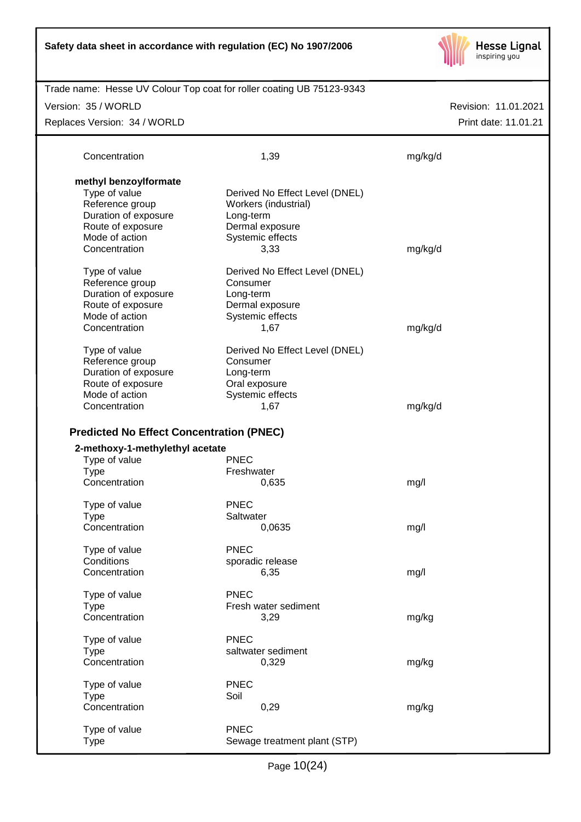

Revision: 11.01.2021 Trade name: Hesse UV Colour Top coat for roller coating UB 75123-9343 Print date: 11.01.21 Version: 35 / WORLD Replaces Version: 34 / WORLD Concentration 1,39 mg/kg/d **methyl benzoylformate** Type of value Derived No Effect Level (DNEL) Reference group Workers (industrial) Duration of exposure Long-term Route of exposure **Dermal exposure** Mode of action Systemic effects Concentration 3,33 mg/kg/d Type of value **Derived No Effect Level (DNEL)** Reference group Consumer Duration of exposure Long-term Route of exposure **Dermal exposure**<br>
Mode of action **Derman Systemic effects** Systemic effects Concentration 1,67 mg/kg/d Type of value Derived No Effect Level (DNEL) Reference group Consumer Duration of exposure Long-term Route of exposure **Caleman Constant Constant Constant** Mode of action Systemic effects Concentration 1,67 mg/kg/d **Predicted No Effect Concentration (PNEC) 2-methoxy-1-methylethyl acetate** Type of value PNEC Type **Freshwater** Concentration 0,635 mg/l Type of value PNEC Type Saltwater Concentration 0,0635 mg/l Type of value PNEC Conditions sporadic release Concentration 6,35 mg/l Type of value PNEC Type Fresh water sediment Concentration 3,29 mg/kg Type of value PNEC Type saltwater sediment Concentration 0,329 mg/kg Type of value PNEC Type Soil Concentration 0,29 mg/kg Type of value PNEC

Page 10(24)

Type Sewage treatment plant (STP)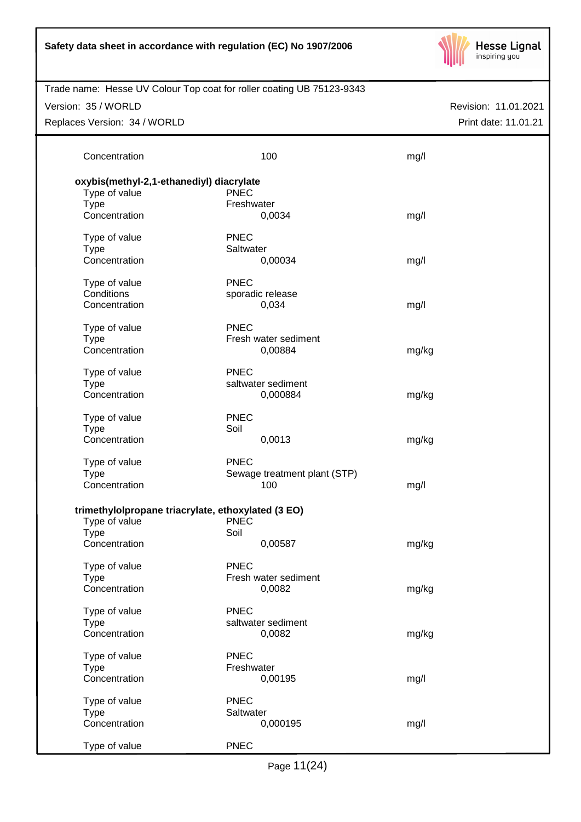| Safety data sheet in accordance with regulation (EC) No 1907/2006 |  |  |  |  |  |  |
|-------------------------------------------------------------------|--|--|--|--|--|--|
|-------------------------------------------------------------------|--|--|--|--|--|--|



| Trade name: Hesse UV Colour Top coat for roller coating UB 75123-9343 |                              |       |                      |
|-----------------------------------------------------------------------|------------------------------|-------|----------------------|
| Version: 35 / WORLD                                                   |                              |       | Revision: 11.01.2021 |
|                                                                       |                              |       |                      |
| Replaces Version: 34 / WORLD                                          |                              |       | Print date: 11.01.21 |
|                                                                       |                              |       |                      |
| Concentration                                                         | 100                          | mg/l  |                      |
|                                                                       |                              |       |                      |
| oxybis(methyl-2,1-ethanediyl) diacrylate                              |                              |       |                      |
| Type of value                                                         | <b>PNEC</b>                  |       |                      |
| <b>Type</b>                                                           | Freshwater                   |       |                      |
| Concentration                                                         | 0,0034                       | mg/l  |                      |
|                                                                       |                              |       |                      |
| Type of value                                                         | <b>PNEC</b>                  |       |                      |
| <b>Type</b>                                                           | Saltwater                    |       |                      |
| Concentration                                                         | 0,00034                      | mg/l  |                      |
|                                                                       |                              |       |                      |
| Type of value                                                         | <b>PNEC</b>                  |       |                      |
| Conditions                                                            | sporadic release             |       |                      |
| Concentration                                                         | 0,034                        | mg/l  |                      |
|                                                                       |                              |       |                      |
| Type of value                                                         | <b>PNEC</b>                  |       |                      |
| <b>Type</b>                                                           | Fresh water sediment         |       |                      |
| Concentration                                                         | 0,00884                      | mg/kg |                      |
|                                                                       |                              |       |                      |
| Type of value                                                         | <b>PNEC</b>                  |       |                      |
| <b>Type</b>                                                           | saltwater sediment           |       |                      |
| Concentration                                                         | 0,000884                     | mg/kg |                      |
|                                                                       |                              |       |                      |
| Type of value                                                         | <b>PNEC</b>                  |       |                      |
| <b>Type</b>                                                           | Soil                         |       |                      |
| Concentration                                                         | 0,0013                       | mg/kg |                      |
|                                                                       |                              |       |                      |
| Type of value                                                         | <b>PNEC</b>                  |       |                      |
| <b>Type</b>                                                           | Sewage treatment plant (STP) |       |                      |
| Concentration                                                         | 100                          | mg/l  |                      |
|                                                                       |                              |       |                      |
| trimethylolpropane triacrylate, ethoxylated (3 EO)                    |                              |       |                      |
| Type of value                                                         | <b>PNEC</b>                  |       |                      |
| <b>Type</b>                                                           | Soil                         |       |                      |
| Concentration                                                         | 0,00587                      | mg/kg |                      |
|                                                                       |                              |       |                      |
| Type of value                                                         | <b>PNEC</b>                  |       |                      |
| <b>Type</b>                                                           | Fresh water sediment         |       |                      |
| Concentration                                                         | 0,0082                       | mg/kg |                      |
|                                                                       |                              |       |                      |
| Type of value                                                         | <b>PNEC</b>                  |       |                      |
| <b>Type</b>                                                           | saltwater sediment           |       |                      |
| Concentration                                                         | 0,0082                       | mg/kg |                      |
|                                                                       |                              |       |                      |
| Type of value                                                         | <b>PNEC</b>                  |       |                      |
| <b>Type</b>                                                           | Freshwater                   |       |                      |
| Concentration                                                         | 0,00195                      | mg/l  |                      |
|                                                                       |                              |       |                      |
| Type of value                                                         | <b>PNEC</b>                  |       |                      |
| <b>Type</b>                                                           | Saltwater                    |       |                      |
| Concentration                                                         | 0,000195                     | mg/l  |                      |
|                                                                       |                              |       |                      |
| Type of value                                                         | <b>PNEC</b>                  |       |                      |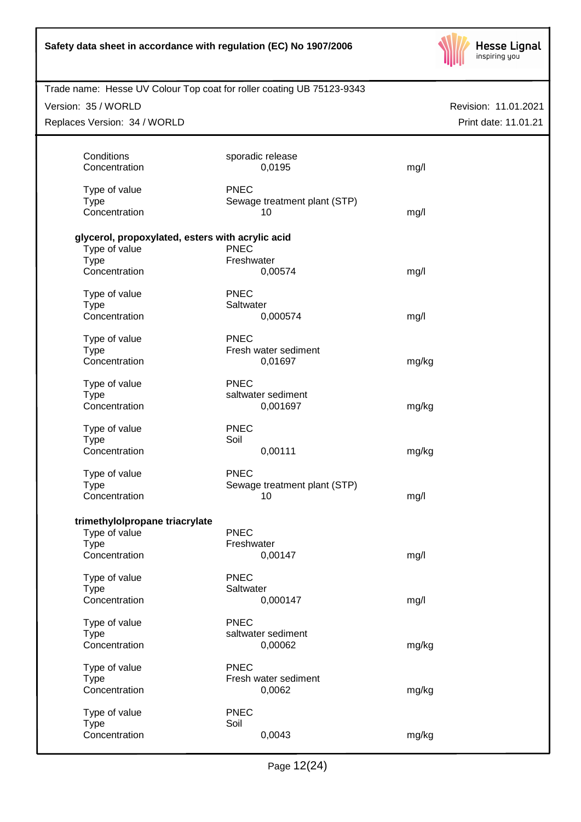

| Trade name: Hesse UV Colour Top coat for roller coating UB 75123-9343 |                              |                      |
|-----------------------------------------------------------------------|------------------------------|----------------------|
| Version: 35 / WORLD                                                   |                              | Revision: 11.01.2021 |
| Replaces Version: 34 / WORLD                                          |                              | Print date: 11.01.21 |
|                                                                       |                              |                      |
| Conditions                                                            | sporadic release             |                      |
| Concentration                                                         | 0,0195                       | mg/l                 |
|                                                                       |                              |                      |
| Type of value                                                         | <b>PNEC</b>                  |                      |
| <b>Type</b>                                                           | Sewage treatment plant (STP) |                      |
| Concentration                                                         | 10                           | mg/l                 |
|                                                                       |                              |                      |
| glycerol, propoxylated, esters with acrylic acid                      |                              |                      |
| Type of value                                                         | <b>PNEC</b>                  |                      |
| <b>Type</b>                                                           | Freshwater                   |                      |
| Concentration                                                         | 0,00574                      | mg/l                 |
| Type of value                                                         | <b>PNEC</b>                  |                      |
| <b>Type</b>                                                           | Saltwater                    |                      |
| Concentration                                                         | 0,000574                     | mg/l                 |
|                                                                       |                              |                      |
| Type of value                                                         | <b>PNEC</b>                  |                      |
| <b>Type</b>                                                           | Fresh water sediment         |                      |
| Concentration                                                         | 0,01697                      | mg/kg                |
| Type of value                                                         | <b>PNEC</b>                  |                      |
| <b>Type</b>                                                           | saltwater sediment           |                      |
| Concentration                                                         | 0,001697                     | mg/kg                |
|                                                                       |                              |                      |
| Type of value                                                         | <b>PNEC</b>                  |                      |
| <b>Type</b>                                                           | Soil                         |                      |
| Concentration                                                         | 0,00111                      | mg/kg                |
| Type of value                                                         | <b>PNEC</b>                  |                      |
| <b>Type</b>                                                           | Sewage treatment plant (STP) |                      |
| Concentration                                                         | 10                           | mg/l                 |
|                                                                       |                              |                      |
| trimethylolpropane triacrylate                                        |                              |                      |
| Type of value                                                         | <b>PNEC</b>                  |                      |
| <b>Type</b>                                                           | Freshwater                   |                      |
| Concentration                                                         | 0,00147                      | mg/l                 |
| Type of value                                                         | <b>PNEC</b>                  |                      |
| <b>Type</b>                                                           | Saltwater                    |                      |
| Concentration                                                         | 0,000147                     | mg/l                 |
|                                                                       |                              |                      |
| Type of value                                                         | <b>PNEC</b>                  |                      |
| <b>Type</b>                                                           | saltwater sediment           |                      |
| Concentration                                                         | 0,00062                      | mg/kg                |
| Type of value                                                         | <b>PNEC</b>                  |                      |
| <b>Type</b>                                                           | Fresh water sediment         |                      |
| Concentration                                                         | 0,0062                       | mg/kg                |
|                                                                       |                              |                      |
| Type of value                                                         | <b>PNEC</b>                  |                      |
| <b>Type</b>                                                           | Soil                         |                      |
| Concentration                                                         | 0,0043                       | mg/kg                |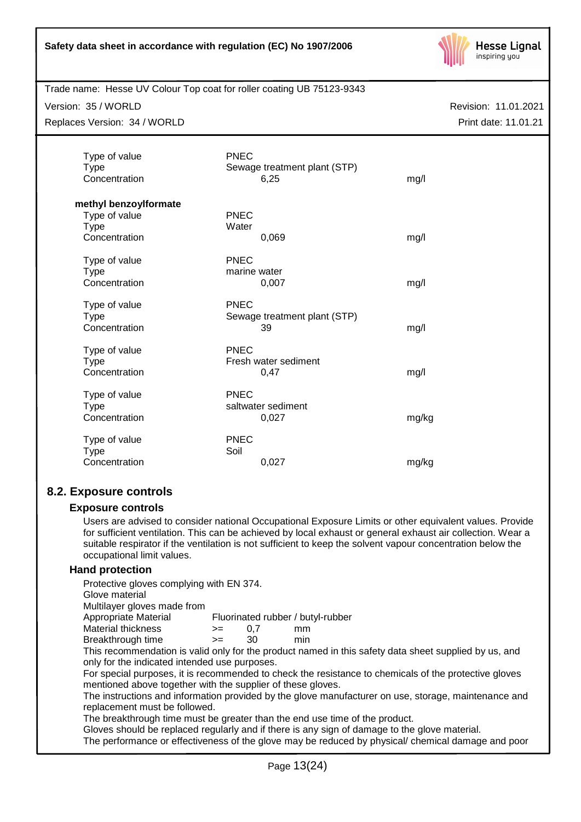

## Trade name: Hesse UV Colour Top coat for roller coating UB 75123-9343

Version: 35 / WORLD

Replaces Version: 34 / WORLD

Revision: 11.01.2021 Print date: 11.01.21

| Type of value<br><b>Type</b><br>Concentration | <b>PNEC</b><br>Sewage treatment plant (STP)<br>6,25 | mg/l  |
|-----------------------------------------------|-----------------------------------------------------|-------|
| methyl benzoylformate                         |                                                     |       |
| Type of value                                 | <b>PNEC</b>                                         |       |
| <b>Type</b>                                   | Water                                               |       |
| Concentration                                 | 0,069                                               | mg/l  |
| Type of value                                 | <b>PNEC</b>                                         |       |
| <b>Type</b>                                   | marine water                                        |       |
| Concentration                                 | 0,007                                               | mg/l  |
|                                               |                                                     |       |
| Type of value                                 | <b>PNEC</b>                                         |       |
| <b>Type</b>                                   | Sewage treatment plant (STP)                        |       |
| Concentration                                 | 39                                                  | mg/l  |
|                                               | <b>PNEC</b>                                         |       |
| Type of value                                 | Fresh water sediment                                |       |
| <b>Type</b><br>Concentration                  | 0,47                                                | mg/l  |
|                                               |                                                     |       |
| Type of value                                 | <b>PNEC</b>                                         |       |
| <b>Type</b>                                   | saltwater sediment                                  |       |
| Concentration                                 | 0,027                                               | mg/kg |
|                                               |                                                     |       |
| Type of value                                 | <b>PNEC</b>                                         |       |
| <b>Type</b>                                   | Soil                                                |       |
| Concentration                                 | 0,027                                               | mg/kg |

# **8.2. Exposure controls**

#### **Exposure controls**

Users are advised to consider national Occupational Exposure Limits or other equivalent values. Provide for sufficient ventilation. This can be achieved by local exhaust or general exhaust air collection. Wear a suitable respirator if the ventilation is not sufficient to keep the solvent vapour concentration below the occupational limit values.

## **Hand protection**

Protective gloves complying with EN 374.

Glove material

Multilayer gloves made from

- Appropriate Material Fluorinated rubber / butyl-rubber Material thickness  $\rightarrow$  = 0.7 mm
- Breakthrough time >= 30 min

This recommendation is valid only for the product named in this safety data sheet supplied by us, and only for the indicated intended use purposes.

For special purposes, it is recommended to check the resistance to chemicals of the protective gloves mentioned above together with the supplier of these gloves.

The instructions and information provided by the glove manufacturer on use, storage, maintenance and replacement must be followed.

The breakthrough time must be greater than the end use time of the product.

Gloves should be replaced regularly and if there is any sign of damage to the glove material.

The performance or effectiveness of the glove may be reduced by physical/ chemical damage and poor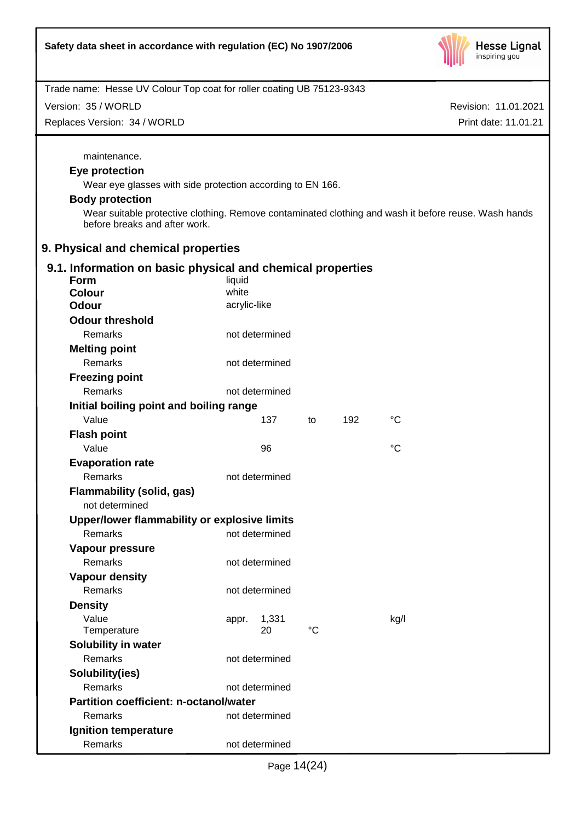

| Trade name: Hesse UV Colour Top coat for roller coating UB 75123-9343 |                |             |     |                                                                                                      |
|-----------------------------------------------------------------------|----------------|-------------|-----|------------------------------------------------------------------------------------------------------|
| Version: 35 / WORLD                                                   |                |             |     | Revision: 11.01.2021                                                                                 |
| Replaces Version: 34 / WORLD                                          |                |             |     | Print date: 11.01.21                                                                                 |
|                                                                       |                |             |     |                                                                                                      |
| maintenance.                                                          |                |             |     |                                                                                                      |
| Eye protection                                                        |                |             |     |                                                                                                      |
| Wear eye glasses with side protection according to EN 166.            |                |             |     |                                                                                                      |
| <b>Body protection</b>                                                |                |             |     |                                                                                                      |
|                                                                       |                |             |     | Wear suitable protective clothing. Remove contaminated clothing and wash it before reuse. Wash hands |
| before breaks and after work.                                         |                |             |     |                                                                                                      |
| 9. Physical and chemical properties                                   |                |             |     |                                                                                                      |
| 9.1. Information on basic physical and chemical properties            |                |             |     |                                                                                                      |
| <b>Form</b>                                                           | liquid         |             |     |                                                                                                      |
| <b>Colour</b>                                                         | white          |             |     |                                                                                                      |
| <b>Odour</b>                                                          | acrylic-like   |             |     |                                                                                                      |
| <b>Odour threshold</b>                                                |                |             |     |                                                                                                      |
| Remarks                                                               | not determined |             |     |                                                                                                      |
| <b>Melting point</b>                                                  |                |             |     |                                                                                                      |
| <b>Remarks</b>                                                        | not determined |             |     |                                                                                                      |
| <b>Freezing point</b>                                                 |                |             |     |                                                                                                      |
| Remarks                                                               | not determined |             |     |                                                                                                      |
| Initial boiling point and boiling range                               |                |             |     |                                                                                                      |
| Value                                                                 | 137            | to          | 192 | °C                                                                                                   |
| <b>Flash point</b>                                                    |                |             |     |                                                                                                      |
| Value                                                                 | 96             |             |     | $\rm ^{\circ}C$                                                                                      |
| <b>Evaporation rate</b>                                               |                |             |     |                                                                                                      |
| Remarks                                                               | not determined |             |     |                                                                                                      |
| <b>Flammability (solid, gas)</b>                                      |                |             |     |                                                                                                      |
| not determined                                                        |                |             |     |                                                                                                      |
| Upper/lower flammability or explosive limits                          |                |             |     |                                                                                                      |
| Remarks                                                               | not determined |             |     |                                                                                                      |
| Vapour pressure                                                       |                |             |     |                                                                                                      |
| Remarks                                                               | not determined |             |     |                                                                                                      |
| <b>Vapour density</b>                                                 |                |             |     |                                                                                                      |
| Remarks                                                               | not determined |             |     |                                                                                                      |
| <b>Density</b>                                                        |                |             |     |                                                                                                      |
| Value                                                                 | 1,331<br>appr. |             |     | kg/l                                                                                                 |
| Temperature                                                           | 20             | $^{\circ}C$ |     |                                                                                                      |
| Solubility in water                                                   |                |             |     |                                                                                                      |
| Remarks                                                               | not determined |             |     |                                                                                                      |
| Solubility(ies)                                                       |                |             |     |                                                                                                      |
| Remarks                                                               | not determined |             |     |                                                                                                      |
| <b>Partition coefficient: n-octanol/water</b>                         |                |             |     |                                                                                                      |
| Remarks                                                               | not determined |             |     |                                                                                                      |
| Ignition temperature                                                  |                |             |     |                                                                                                      |
| Remarks                                                               | not determined |             |     |                                                                                                      |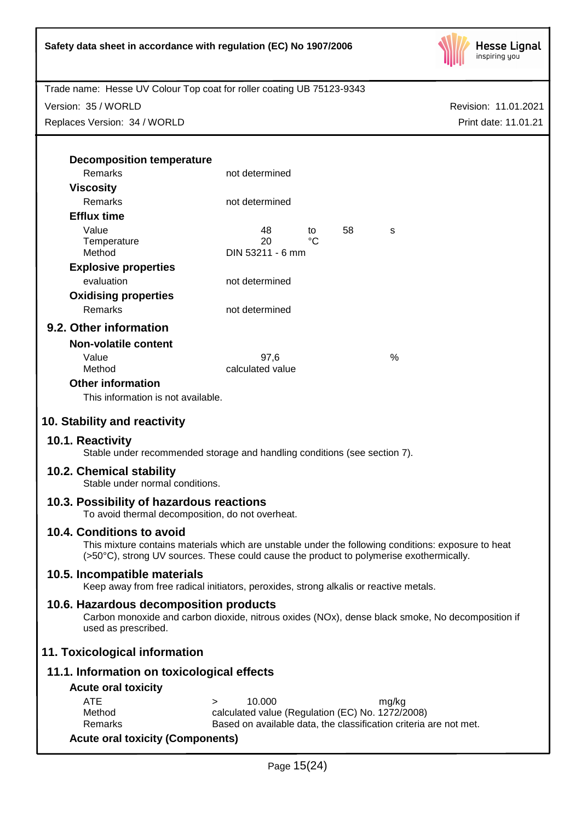

Version: 35 / WORLD

Replaces Version: 34 / WORLD

Revision: 11.01.2021 Print date: 11.01.21

| <b>Decomposition temperature</b>                                                                                                                                                               |                                                                   |             |    |       |  |
|------------------------------------------------------------------------------------------------------------------------------------------------------------------------------------------------|-------------------------------------------------------------------|-------------|----|-------|--|
| Remarks                                                                                                                                                                                        | not determined                                                    |             |    |       |  |
| <b>Viscosity</b>                                                                                                                                                                               |                                                                   |             |    |       |  |
| Remarks                                                                                                                                                                                        | not determined                                                    |             |    |       |  |
| <b>Efflux time</b>                                                                                                                                                                             |                                                                   |             |    |       |  |
| Value                                                                                                                                                                                          | 48                                                                | to          | 58 | s     |  |
| Temperature                                                                                                                                                                                    | 20                                                                | $^{\circ}C$ |    |       |  |
| Method                                                                                                                                                                                         | DIN 53211 - 6 mm                                                  |             |    |       |  |
| <b>Explosive properties</b>                                                                                                                                                                    |                                                                   |             |    |       |  |
| evaluation                                                                                                                                                                                     | not determined                                                    |             |    |       |  |
| <b>Oxidising properties</b>                                                                                                                                                                    |                                                                   |             |    |       |  |
| Remarks                                                                                                                                                                                        | not determined                                                    |             |    |       |  |
| 9.2. Other information                                                                                                                                                                         |                                                                   |             |    |       |  |
| <b>Non-volatile content</b>                                                                                                                                                                    |                                                                   |             |    |       |  |
| Value                                                                                                                                                                                          | 97,6                                                              |             |    | %     |  |
| Method                                                                                                                                                                                         | calculated value                                                  |             |    |       |  |
| <b>Other information</b>                                                                                                                                                                       |                                                                   |             |    |       |  |
| This information is not available.                                                                                                                                                             |                                                                   |             |    |       |  |
| 10. Stability and reactivity                                                                                                                                                                   |                                                                   |             |    |       |  |
|                                                                                                                                                                                                |                                                                   |             |    |       |  |
| 10.1. Reactivity<br>Stable under recommended storage and handling conditions (see section 7).                                                                                                  |                                                                   |             |    |       |  |
| 10.2. Chemical stability<br>Stable under normal conditions.                                                                                                                                    |                                                                   |             |    |       |  |
| 10.3. Possibility of hazardous reactions<br>To avoid thermal decomposition, do not overheat.                                                                                                   |                                                                   |             |    |       |  |
| 10.4. Conditions to avoid                                                                                                                                                                      |                                                                   |             |    |       |  |
| This mixture contains materials which are unstable under the following conditions: exposure to heat<br>(>50°C), strong UV sources. These could cause the product to polymerise exothermically. |                                                                   |             |    |       |  |
| 10.5. Incompatible materials                                                                                                                                                                   |                                                                   |             |    |       |  |
| Keep away from free radical initiators, peroxides, strong alkalis or reactive metals.                                                                                                          |                                                                   |             |    |       |  |
| 10.6. Hazardous decomposition products<br>Carbon monoxide and carbon dioxide, nitrous oxides (NOx), dense black smoke, No decomposition if<br>used as prescribed.                              |                                                                   |             |    |       |  |
| 11. Toxicological information                                                                                                                                                                  |                                                                   |             |    |       |  |
| 11.1. Information on toxicological effects                                                                                                                                                     |                                                                   |             |    |       |  |
| <b>Acute oral toxicity</b>                                                                                                                                                                     |                                                                   |             |    |       |  |
| <b>ATE</b>                                                                                                                                                                                     | 10.000<br>$\geq$                                                  |             |    | mg/kg |  |
| Method                                                                                                                                                                                         | calculated value (Regulation (EC) No. 1272/2008)                  |             |    |       |  |
| Remarks                                                                                                                                                                                        | Based on available data, the classification criteria are not met. |             |    |       |  |
| <b>Acute oral toxicity (Components)</b>                                                                                                                                                        |                                                                   |             |    |       |  |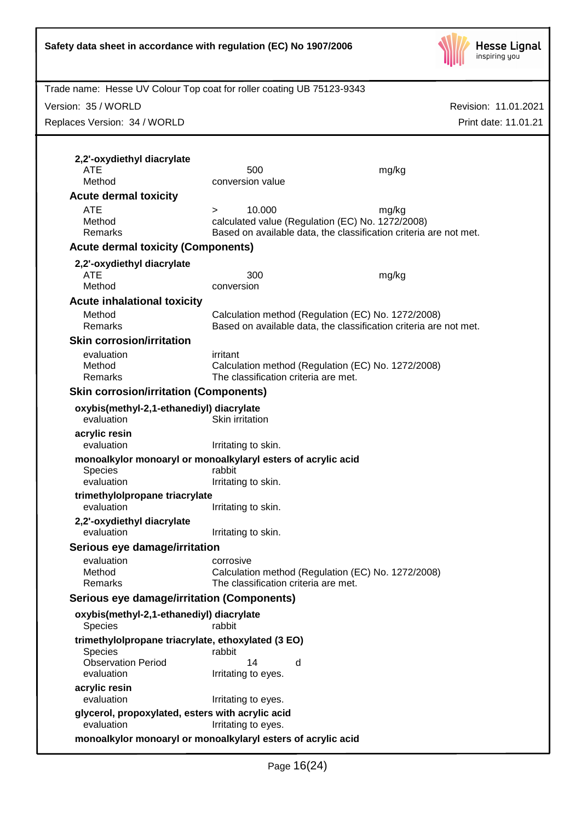

| Trade name: Hesse UV Colour Top coat for roller coating UB 75123-9343 |                                      |                                                                   |                      |
|-----------------------------------------------------------------------|--------------------------------------|-------------------------------------------------------------------|----------------------|
| Version: 35 / WORLD                                                   |                                      |                                                                   | Revision: 11.01.2021 |
| Replaces Version: 34 / WORLD                                          |                                      |                                                                   | Print date: 11.01.21 |
|                                                                       |                                      |                                                                   |                      |
|                                                                       |                                      |                                                                   |                      |
| 2,2'-oxydiethyl diacrylate                                            |                                      |                                                                   |                      |
| ATE                                                                   | 500                                  | mg/kg                                                             |                      |
| Method                                                                | conversion value                     |                                                                   |                      |
| <b>Acute dermal toxicity</b>                                          |                                      |                                                                   |                      |
| <b>ATE</b>                                                            | 10.000<br>$\geq$                     | mg/kg                                                             |                      |
| Method                                                                |                                      | calculated value (Regulation (EC) No. 1272/2008)                  |                      |
| Remarks                                                               |                                      | Based on available data, the classification criteria are not met. |                      |
| <b>Acute dermal toxicity (Components)</b>                             |                                      |                                                                   |                      |
| 2,2'-oxydiethyl diacrylate                                            |                                      |                                                                   |                      |
| ATE                                                                   | 300                                  | mg/kg                                                             |                      |
| Method                                                                | conversion                           |                                                                   |                      |
| <b>Acute inhalational toxicity</b>                                    |                                      |                                                                   |                      |
| Method                                                                |                                      | Calculation method (Regulation (EC) No. 1272/2008)                |                      |
| Remarks                                                               |                                      | Based on available data, the classification criteria are not met. |                      |
| <b>Skin corrosion/irritation</b>                                      |                                      |                                                                   |                      |
| evaluation                                                            | irritant                             |                                                                   |                      |
| Method                                                                |                                      | Calculation method (Regulation (EC) No. 1272/2008)                |                      |
| Remarks                                                               | The classification criteria are met. |                                                                   |                      |
| <b>Skin corrosion/irritation (Components)</b>                         |                                      |                                                                   |                      |
|                                                                       |                                      |                                                                   |                      |
| oxybis(methyl-2,1-ethanediyl) diacrylate<br>evaluation                | Skin irritation                      |                                                                   |                      |
| acrylic resin<br>evaluation                                           | Irritating to skin.                  |                                                                   |                      |
| monoalkylor monoaryl or monoalkylaryl esters of acrylic acid          |                                      |                                                                   |                      |
| <b>Species</b>                                                        | rabbit                               |                                                                   |                      |
| evaluation                                                            | Irritating to skin.                  |                                                                   |                      |
| trimethylolpropane triacrylate                                        |                                      |                                                                   |                      |
| evaluation                                                            | Irritating to skin.                  |                                                                   |                      |
| 2,2'-oxydiethyl diacrylate                                            |                                      |                                                                   |                      |
| evaluation                                                            | Irritating to skin.                  |                                                                   |                      |
| Serious eye damage/irritation                                         |                                      |                                                                   |                      |
| evaluation                                                            | corrosive                            |                                                                   |                      |
| Method                                                                |                                      | Calculation method (Regulation (EC) No. 1272/2008)                |                      |
| Remarks                                                               | The classification criteria are met. |                                                                   |                      |
| <b>Serious eye damage/irritation (Components)</b>                     |                                      |                                                                   |                      |
| oxybis(methyl-2,1-ethanediyl) diacrylate<br><b>Species</b>            | rabbit                               |                                                                   |                      |
| trimethylolpropane triacrylate, ethoxylated (3 EO)                    |                                      |                                                                   |                      |
| <b>Species</b>                                                        | rabbit                               |                                                                   |                      |
| <b>Observation Period</b>                                             | 14<br>d                              |                                                                   |                      |
| evaluation                                                            | Irritating to eyes.                  |                                                                   |                      |
| acrylic resin                                                         |                                      |                                                                   |                      |
| evaluation                                                            | Irritating to eyes.                  |                                                                   |                      |
| glycerol, propoxylated, esters with acrylic acid                      |                                      |                                                                   |                      |
| evaluation                                                            | Irritating to eyes.                  |                                                                   |                      |
| monoalkylor monoaryl or monoalkylaryl esters of acrylic acid          |                                      |                                                                   |                      |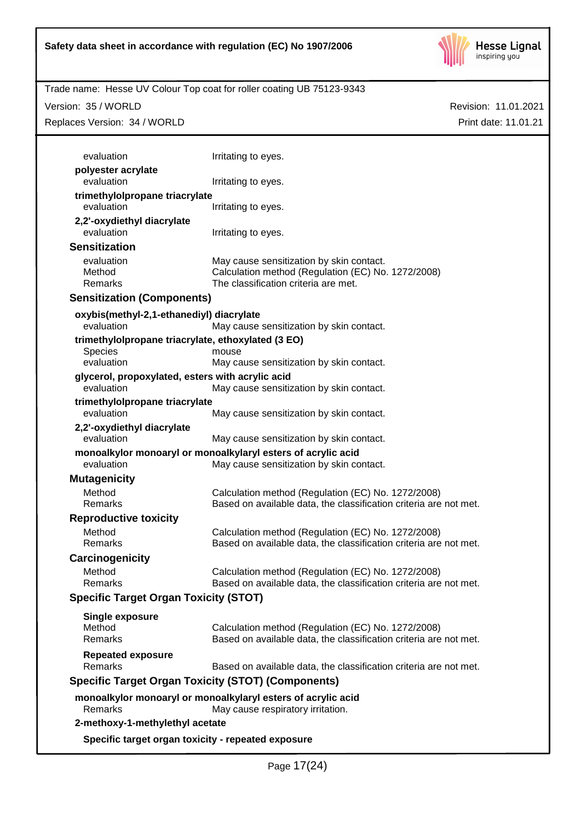

Revision: 11.01.2021

Print date: 11.01.21

Trade name: Hesse UV Colour Top coat for roller coating UB 75123-9343

Version: 35 / WORLD

Replaces Version: 34 / WORLD

| evaluation                                         | Irritating to eyes.                                                                                      |
|----------------------------------------------------|----------------------------------------------------------------------------------------------------------|
| polyester acrylate                                 |                                                                                                          |
| evaluation                                         | Irritating to eyes.                                                                                      |
| trimethylolpropane triacrylate                     |                                                                                                          |
| evaluation                                         | Irritating to eyes.                                                                                      |
| 2,2'-oxydiethyl diacrylate                         |                                                                                                          |
| evaluation                                         | Irritating to eyes.                                                                                      |
| <b>Sensitization</b>                               |                                                                                                          |
| evaluation                                         | May cause sensitization by skin contact.                                                                 |
| Method                                             | Calculation method (Regulation (EC) No. 1272/2008)                                                       |
| Remarks                                            | The classification criteria are met.                                                                     |
| <b>Sensitization (Components)</b>                  |                                                                                                          |
| oxybis(methyl-2,1-ethanediyl) diacrylate           |                                                                                                          |
| evaluation                                         | May cause sensitization by skin contact.                                                                 |
| trimethylolpropane triacrylate, ethoxylated (3 EO) |                                                                                                          |
| <b>Species</b>                                     | mouse                                                                                                    |
| evaluation                                         | May cause sensitization by skin contact.                                                                 |
| glycerol, propoxylated, esters with acrylic acid   |                                                                                                          |
| evaluation                                         | May cause sensitization by skin contact.                                                                 |
| trimethylolpropane triacrylate<br>evaluation       |                                                                                                          |
|                                                    | May cause sensitization by skin contact.                                                                 |
| 2,2'-oxydiethyl diacrylate<br>evaluation           | May cause sensitization by skin contact.                                                                 |
|                                                    |                                                                                                          |
| evaluation                                         | monoalkylor monoaryl or monoalkylaryl esters of acrylic acid<br>May cause sensitization by skin contact. |
| <b>Mutagenicity</b>                                |                                                                                                          |
| Method                                             | Calculation method (Regulation (EC) No. 1272/2008)                                                       |
| Remarks                                            | Based on available data, the classification criteria are not met.                                        |
| <b>Reproductive toxicity</b>                       |                                                                                                          |
| Method                                             | Calculation method (Regulation (EC) No. 1272/2008)                                                       |
| Remarks                                            | Based on available data, the classification criteria are not met.                                        |
| Carcinogenicity                                    |                                                                                                          |
| Method                                             | Calculation method (Regulation (EC) No. 1272/2008)                                                       |
| Remarks                                            | Based on available data, the classification criteria are not met.                                        |
| <b>Specific Target Organ Toxicity (STOT)</b>       |                                                                                                          |
|                                                    |                                                                                                          |
| Single exposure                                    |                                                                                                          |
| Method<br>Remarks                                  | Calculation method (Regulation (EC) No. 1272/2008)                                                       |
|                                                    | Based on available data, the classification criteria are not met.                                        |
| <b>Repeated exposure</b>                           |                                                                                                          |
| Remarks                                            | Based on available data, the classification criteria are not met.                                        |
|                                                    | <b>Specific Target Organ Toxicity (STOT) (Components)</b>                                                |
|                                                    | monoalkylor monoaryl or monoalkylaryl esters of acrylic acid                                             |
| Remarks                                            | May cause respiratory irritation.                                                                        |
|                                                    |                                                                                                          |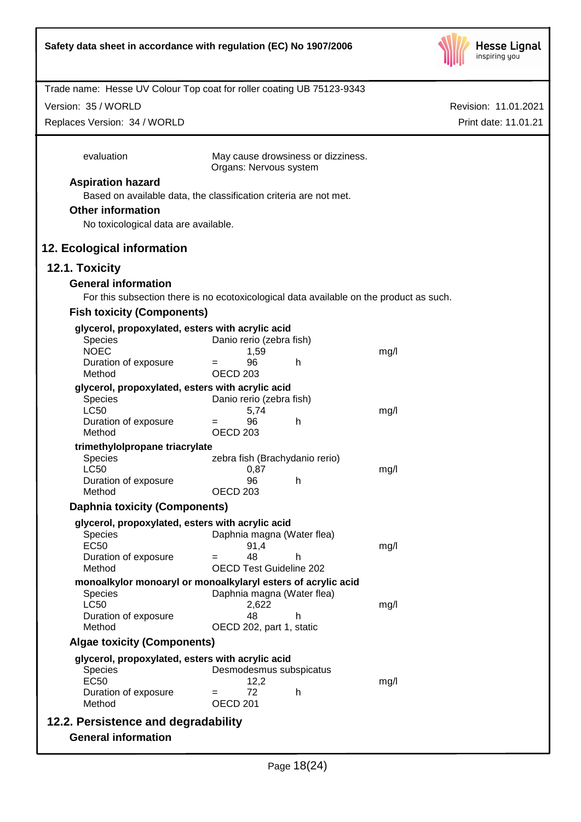

Version: 35 / WORLD

Replaces Version: 34 / WORLD

Revision: 11.01.2021 Print date: 11.01.21

| evaluation                                                                              | May cause drowsiness or dizziness.<br>Organs: Nervous system |    |      |
|-----------------------------------------------------------------------------------------|--------------------------------------------------------------|----|------|
| <b>Aspiration hazard</b>                                                                |                                                              |    |      |
| Based on available data, the classification criteria are not met.                       |                                                              |    |      |
| <b>Other information</b>                                                                |                                                              |    |      |
|                                                                                         |                                                              |    |      |
| No toxicological data are available.                                                    |                                                              |    |      |
| 12. Ecological information                                                              |                                                              |    |      |
| 12.1. Toxicity                                                                          |                                                              |    |      |
| <b>General information</b>                                                              |                                                              |    |      |
| For this subsection there is no ecotoxicological data available on the product as such. |                                                              |    |      |
| <b>Fish toxicity (Components)</b>                                                       |                                                              |    |      |
| glycerol, propoxylated, esters with acrylic acid                                        |                                                              |    |      |
| Species                                                                                 | Danio rerio (zebra fish)                                     |    |      |
| <b>NOEC</b>                                                                             | 1,59                                                         |    | mg/l |
| Duration of exposure                                                                    | 96<br>$=$                                                    | h  |      |
| Method                                                                                  | <b>OECD 203</b>                                              |    |      |
| glycerol, propoxylated, esters with acrylic acid                                        |                                                              |    |      |
| Species<br><b>LC50</b>                                                                  | Danio rerio (zebra fish)<br>5,74                             |    | mg/l |
| Duration of exposure                                                                    | 96<br>$=$                                                    | h  |      |
| Method                                                                                  | OECD <sub>203</sub>                                          |    |      |
| trimethylolpropane triacrylate                                                          |                                                              |    |      |
| Species                                                                                 | zebra fish (Brachydanio rerio)                               |    |      |
| <b>LC50</b>                                                                             | 0,87                                                         |    | mg/l |
| Duration of exposure<br>Method                                                          | 96<br>OECD <sub>203</sub>                                    | h  |      |
|                                                                                         |                                                              |    |      |
| <b>Daphnia toxicity (Components)</b>                                                    |                                                              |    |      |
| glycerol, propoxylated, esters with acrylic acid                                        |                                                              |    |      |
| Species<br><b>EC50</b>                                                                  | Daphnia magna (Water flea)<br>91,4                           |    | mg/l |
| Duration of exposure                                                                    | 48<br>$=$                                                    | h  |      |
| Method                                                                                  | <b>OECD Test Guideline 202</b>                               |    |      |
| monoalkylor monoaryl or monoalkylaryl esters of acrylic acid                            |                                                              |    |      |
| <b>Species</b>                                                                          | Daphnia magna (Water flea)                                   |    |      |
| <b>LC50</b>                                                                             | 2,622                                                        |    | mg/l |
| Duration of exposure<br>Method                                                          | 48<br>OECD 202, part 1, static                               | h. |      |
|                                                                                         |                                                              |    |      |
| <b>Algae toxicity (Components)</b>                                                      |                                                              |    |      |
| glycerol, propoxylated, esters with acrylic acid                                        |                                                              |    |      |
| <b>Species</b><br><b>EC50</b>                                                           | Desmodesmus subspicatus<br>12,2                              |    | mg/l |
| Duration of exposure                                                                    | 72                                                           | h  |      |
| Method                                                                                  | OECD <sub>201</sub>                                          |    |      |
| 12.2. Persistence and degradability                                                     |                                                              |    |      |
| <b>General information</b>                                                              |                                                              |    |      |
|                                                                                         |                                                              |    |      |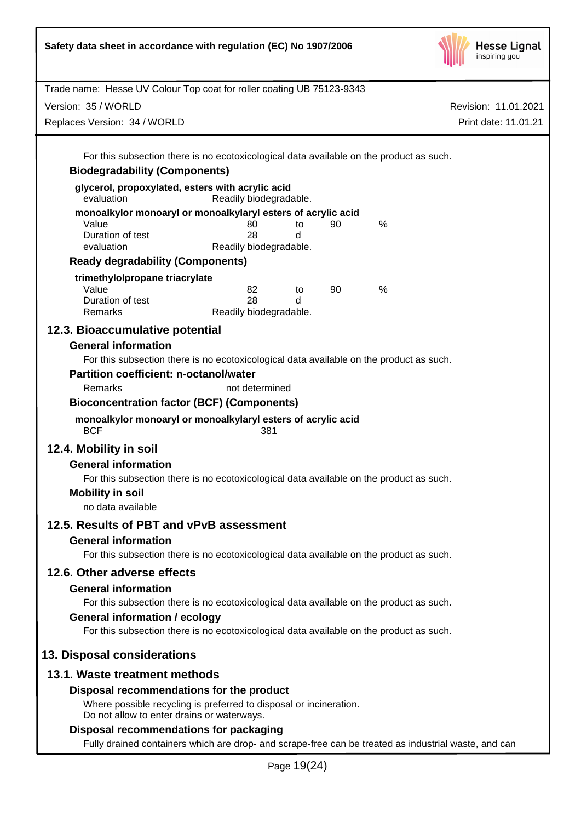| Safety data sheet in accordance with regulation (EC) No 1907/2006                                                                                                                                                                                                                                                                                                            |                        |    | <b>Hesse Lignal</b><br>inspiring you                                                                 |  |
|------------------------------------------------------------------------------------------------------------------------------------------------------------------------------------------------------------------------------------------------------------------------------------------------------------------------------------------------------------------------------|------------------------|----|------------------------------------------------------------------------------------------------------|--|
| Trade name: Hesse UV Colour Top coat for roller coating UB 75123-9343                                                                                                                                                                                                                                                                                                        |                        |    |                                                                                                      |  |
| Version: 35 / WORLD                                                                                                                                                                                                                                                                                                                                                          |                        |    | Revision: 11.01.2021                                                                                 |  |
| Replaces Version: 34 / WORLD                                                                                                                                                                                                                                                                                                                                                 |                        |    | Print date: 11.01.21                                                                                 |  |
|                                                                                                                                                                                                                                                                                                                                                                              |                        |    |                                                                                                      |  |
| For this subsection there is no ecotoxicological data available on the product as such.                                                                                                                                                                                                                                                                                      |                        |    |                                                                                                      |  |
| <b>Biodegradability (Components)</b>                                                                                                                                                                                                                                                                                                                                         |                        |    |                                                                                                      |  |
| glycerol, propoxylated, esters with acrylic acid<br>evaluation                                                                                                                                                                                                                                                                                                               | Readily biodegradable. |    |                                                                                                      |  |
| monoalkylor monoaryl or monoalkylaryl esters of acrylic acid                                                                                                                                                                                                                                                                                                                 |                        |    |                                                                                                      |  |
| Value<br>Duration of test                                                                                                                                                                                                                                                                                                                                                    | 80<br>to<br>28<br>d    | 90 | %                                                                                                    |  |
| evaluation                                                                                                                                                                                                                                                                                                                                                                   | Readily biodegradable. |    |                                                                                                      |  |
| <b>Ready degradability (Components)</b>                                                                                                                                                                                                                                                                                                                                      |                        |    |                                                                                                      |  |
| trimethylolpropane triacrylate                                                                                                                                                                                                                                                                                                                                               |                        |    |                                                                                                      |  |
| Value<br>Duration of test                                                                                                                                                                                                                                                                                                                                                    | 82<br>to<br>28<br>d    | 90 | $\%$                                                                                                 |  |
| Remarks                                                                                                                                                                                                                                                                                                                                                                      | Readily biodegradable. |    |                                                                                                      |  |
| 12.3. Bioaccumulative potential                                                                                                                                                                                                                                                                                                                                              |                        |    |                                                                                                      |  |
| <b>General information</b><br>For this subsection there is no ecotoxicological data available on the product as such.<br><b>Partition coefficient: n-octanol/water</b><br>Remarks<br><b>Bioconcentration factor (BCF) (Components)</b><br>monoalkylor monoaryl or monoalkylaryl esters of acrylic acid<br><b>BCF</b><br>12.4. Mobility in soil<br><b>General information</b> | not determined<br>381  |    |                                                                                                      |  |
| For this subsection there is no ecotoxicological data available on the product as such.<br><b>Mobility in soil</b><br>no data available                                                                                                                                                                                                                                      |                        |    |                                                                                                      |  |
| 12.5. Results of PBT and vPvB assessment                                                                                                                                                                                                                                                                                                                                     |                        |    |                                                                                                      |  |
| <b>General information</b>                                                                                                                                                                                                                                                                                                                                                   |                        |    |                                                                                                      |  |
| For this subsection there is no ecotoxicological data available on the product as such.                                                                                                                                                                                                                                                                                      |                        |    |                                                                                                      |  |
| 12.6. Other adverse effects                                                                                                                                                                                                                                                                                                                                                  |                        |    |                                                                                                      |  |
| <b>General information</b>                                                                                                                                                                                                                                                                                                                                                   |                        |    |                                                                                                      |  |
| For this subsection there is no ecotoxicological data available on the product as such.                                                                                                                                                                                                                                                                                      |                        |    |                                                                                                      |  |
| <b>General information / ecology</b><br>For this subsection there is no ecotoxicological data available on the product as such.                                                                                                                                                                                                                                              |                        |    |                                                                                                      |  |
| 13. Disposal considerations                                                                                                                                                                                                                                                                                                                                                  |                        |    |                                                                                                      |  |
| 13.1. Waste treatment methods                                                                                                                                                                                                                                                                                                                                                |                        |    |                                                                                                      |  |
| Disposal recommendations for the product<br>Where possible recycling is preferred to disposal or incineration.<br>Do not allow to enter drains or waterways.                                                                                                                                                                                                                 |                        |    |                                                                                                      |  |
| Disposal recommendations for packaging                                                                                                                                                                                                                                                                                                                                       |                        |    |                                                                                                      |  |
|                                                                                                                                                                                                                                                                                                                                                                              |                        |    | Fully drained containers which are drop- and scrape-free can be treated as industrial waste, and can |  |
|                                                                                                                                                                                                                                                                                                                                                                              |                        |    |                                                                                                      |  |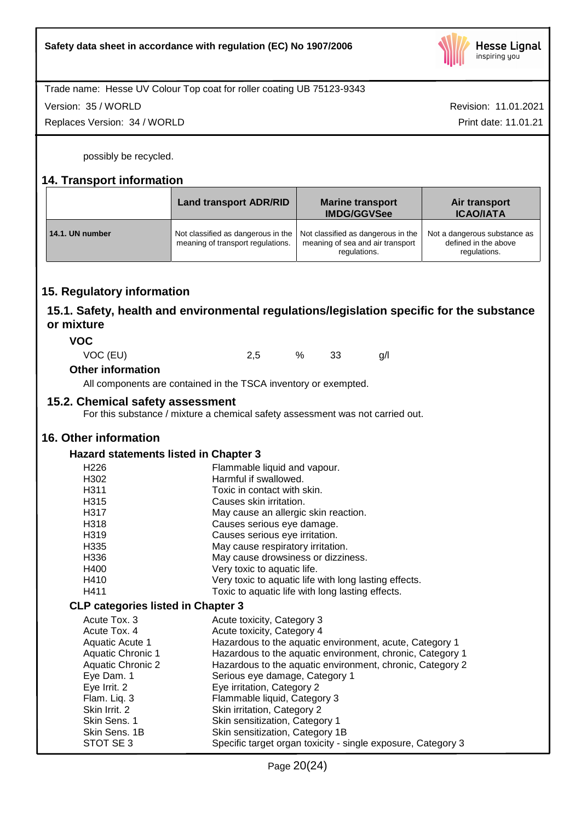

Trade name: Hesse UV Colour Top coat for roller coating UB 75123-9343

Version: 35 / WORLD

Replaces Version: 34 / WORLD

Revision: 11.01.2021 Print date: 11.01.21

possibly be recycled.

# **14. Transport information**

|                 | <b>Land transport ADR/RID</b>                                           | <b>Marine transport</b><br><b>IMDG/GGVSee</b>                                          | Air transport<br><b>ICAO/IATA</b>                                    |
|-----------------|-------------------------------------------------------------------------|----------------------------------------------------------------------------------------|----------------------------------------------------------------------|
| 14.1. UN number | Not classified as dangerous in the<br>meaning of transport regulations. | Not classified as dangerous in the<br>meaning of sea and air transport<br>regulations. | Not a dangerous substance as<br>defined in the above<br>regulations. |

# **15. Regulatory information**

# **15.1. Safety, health and environmental regulations/legislation specific for the substance or mixture**

**VOC**

VOC (EU) 2,5 % 33 g/l

## **Other information**

All components are contained in the TSCA inventory or exempted.

## **15.2. Chemical safety assessment**

For this substance / mixture a chemical safety assessment was not carried out.

# **16. Other information**

# **Hazard statements listed in Chapter 3**

| H <sub>226</sub>                          | Flammable liquid and vapour.                                 |
|-------------------------------------------|--------------------------------------------------------------|
| H302                                      | Harmful if swallowed.                                        |
| H <sub>3</sub> 11                         | Toxic in contact with skin.                                  |
| H315                                      | Causes skin irritation.                                      |
| H317                                      | May cause an allergic skin reaction.                         |
| H318                                      | Causes serious eye damage.                                   |
| H319                                      | Causes serious eye irritation.                               |
| H335                                      | May cause respiratory irritation.                            |
| H336                                      | May cause drowsiness or dizziness.                           |
| H400                                      | Very toxic to aquatic life.                                  |
| H410                                      | Very toxic to aquatic life with long lasting effects.        |
| H411                                      | Toxic to aquatic life with long lasting effects.             |
| <b>CLP categories listed in Chapter 3</b> |                                                              |
| Acute Tox, 3                              | Acute toxicity, Category 3                                   |
| Acute Tox, 4                              | Acute toxicity, Category 4                                   |
| Aquatic Acute 1                           | Hazardous to the aquatic environment, acute, Category 1      |
| Aquatic Chronic 1                         | Hazardous to the aquatic environment, chronic, Category 1    |
| Aquatic Chronic 2                         | Hazardous to the aquatic environment, chronic, Category 2    |
| Eye Dam. 1                                | Serious eye damage, Category 1                               |
| Eye Irrit. 2                              | Eye irritation, Category 2                                   |
| Flam. Liq. 3                              | Flammable liquid, Category 3                                 |
| Skin Irrit. 2                             | Skin irritation, Category 2                                  |
| Skin Sens. 1                              | Skin sensitization, Category 1                               |
| Skin Sens. 1B                             | Skin sensitization, Category 1B                              |
| STOT SE 3                                 | Specific target organ toxicity - single exposure, Category 3 |
|                                           |                                                              |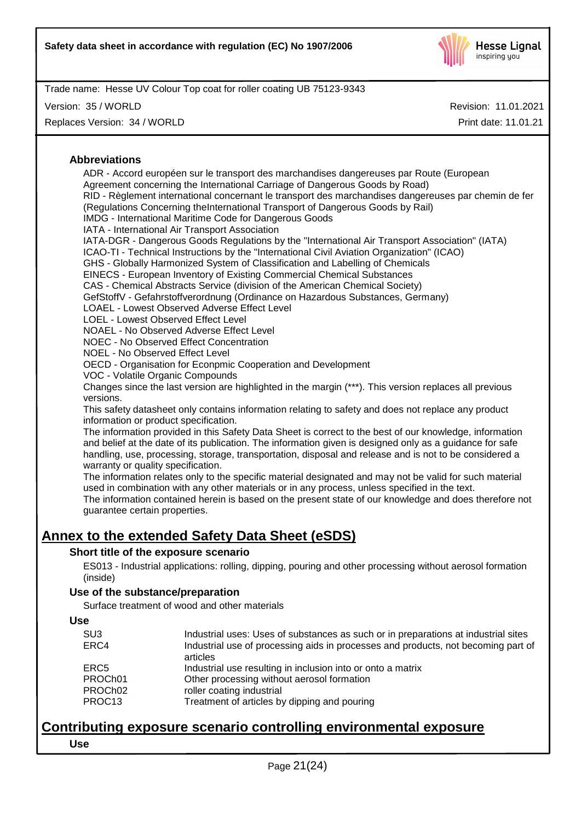

Version: 35 / WORLD

Replaces Version: 34 / WORLD

Revision: 11.01.2021

Print date: 11.01.21

#### **Abbreviations**

ADR - Accord européen sur le transport des marchandises dangereuses par Route (European Agreement concerning the International Carriage of Dangerous Goods by Road) RID - Règlement international concernant le transport des marchandises dangereuses par chemin de fer (Regulations Concerning theInternational Transport of Dangerous Goods by Rail) IMDG - International Maritime Code for Dangerous Goods IATA - International Air Transport Association IATA-DGR - Dangerous Goods Regulations by the "International Air Transport Association" (IATA) ICAO-TI - Technical Instructions by the "International Civil Aviation Organization" (ICAO) GHS - Globally Harmonized System of Classification and Labelling of Chemicals EINECS - European Inventory of Existing Commercial Chemical Substances CAS - Chemical Abstracts Service (division of the American Chemical Society) GefStoffV - Gefahrstoffverordnung (Ordinance on Hazardous Substances, Germany) LOAEL - Lowest Observed Adverse Effect Level LOEL - Lowest Observed Effect Level NOAEL - No Observed Adverse Effect Level NOEC - No Observed Effect Concentration NOEL - No Observed Effect Level OECD - Organisation for Econpmic Cooperation and Development VOC - Volatile Organic Compounds Changes since the last version are highlighted in the margin (\*\*\*). This version replaces all previous versions. This safety datasheet only contains information relating to safety and does not replace any product information or product specification. The information provided in this Safety Data Sheet is correct to the best of our knowledge, information and belief at the date of its publication. The information given is designed only as a guidance for safe handling, use, processing, storage, transportation, disposal and release and is not to be considered a warranty or quality specification. The information relates only to the specific material designated and may not be valid for such material used in combination with any other materials or in any process, unless specified in the text. The information contained herein is based on the present state of our knowledge and does therefore not

# **Annex to the extended Safety Data Sheet (eSDS)**

## **Short title of the exposure scenario**

guarantee certain properties.

ES013 - Industrial applications: rolling, dipping, pouring and other processing without aerosol formation (inside)

## **Use of the substance/preparation**

Surface treatment of wood and other materials

| ×<br>٠<br>٠<br>×<br>ł<br>۰,<br>M.<br>۰.<br>.,<br>۰.<br>.,<br>۰. |
|-----------------------------------------------------------------|
|-----------------------------------------------------------------|

| SU <sub>3</sub> | Industrial uses: Uses of substances as such or in preparations at industrial sites            |
|-----------------|-----------------------------------------------------------------------------------------------|
| ERC4            | Industrial use of processing aids in processes and products, not becoming part of<br>articles |
| ERC5            | Industrial use resulting in inclusion into or onto a matrix                                   |
| PROCh01         | Other processing without aerosol formation                                                    |
| PROCh02         | roller coating industrial                                                                     |
| PROC13          | Treatment of articles by dipping and pouring                                                  |
|                 |                                                                                               |

# **Contributing exposure scenario controlling environmental exposure Use**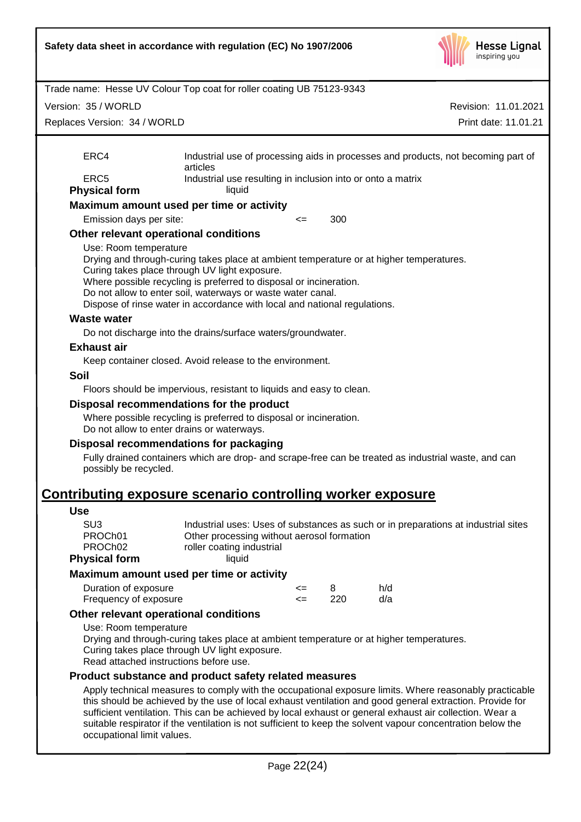

|                                                                           | Trade name: Hesse UV Colour Top coat for roller coating UB 75123-9343                                                                                                                                                                                                                                                                                                                                                                        |          |          |            |                                                                                    |
|---------------------------------------------------------------------------|----------------------------------------------------------------------------------------------------------------------------------------------------------------------------------------------------------------------------------------------------------------------------------------------------------------------------------------------------------------------------------------------------------------------------------------------|----------|----------|------------|------------------------------------------------------------------------------------|
| Version: 35 / WORLD                                                       | Revision: 11.01.2021                                                                                                                                                                                                                                                                                                                                                                                                                         |          |          |            |                                                                                    |
| Replaces Version: 34 / WORLD                                              |                                                                                                                                                                                                                                                                                                                                                                                                                                              |          |          |            | Print date: 11.01.21                                                               |
| ERC4                                                                      | articles                                                                                                                                                                                                                                                                                                                                                                                                                                     |          |          |            | Industrial use of processing aids in processes and products, not becoming part of  |
| ERC <sub>5</sub><br><b>Physical form</b>                                  | Industrial use resulting in inclusion into or onto a matrix<br>liquid                                                                                                                                                                                                                                                                                                                                                                        |          |          |            |                                                                                    |
|                                                                           | Maximum amount used per time or activity                                                                                                                                                                                                                                                                                                                                                                                                     |          |          |            |                                                                                    |
| Emission days per site:                                                   |                                                                                                                                                                                                                                                                                                                                                                                                                                              | $\leq$   | 300      |            |                                                                                    |
|                                                                           | Other relevant operational conditions                                                                                                                                                                                                                                                                                                                                                                                                        |          |          |            |                                                                                    |
| Use: Room temperature                                                     | Drying and through-curing takes place at ambient temperature or at higher temperatures.<br>Curing takes place through UV light exposure.<br>Where possible recycling is preferred to disposal or incineration.<br>Do not allow to enter soil, waterways or waste water canal.<br>Dispose of rinse water in accordance with local and national regulations.                                                                                   |          |          |            |                                                                                    |
| <b>Waste water</b>                                                        |                                                                                                                                                                                                                                                                                                                                                                                                                                              |          |          |            |                                                                                    |
|                                                                           | Do not discharge into the drains/surface waters/groundwater.                                                                                                                                                                                                                                                                                                                                                                                 |          |          |            |                                                                                    |
| <b>Exhaust air</b>                                                        |                                                                                                                                                                                                                                                                                                                                                                                                                                              |          |          |            |                                                                                    |
|                                                                           | Keep container closed. Avoid release to the environment.                                                                                                                                                                                                                                                                                                                                                                                     |          |          |            |                                                                                    |
| <b>Soil</b>                                                               |                                                                                                                                                                                                                                                                                                                                                                                                                                              |          |          |            |                                                                                    |
|                                                                           | Floors should be impervious, resistant to liquids and easy to clean.                                                                                                                                                                                                                                                                                                                                                                         |          |          |            |                                                                                    |
| possibly be recycled.                                                     | Where possible recycling is preferred to disposal or incineration.<br>Do not allow to enter drains or waterways.<br>Disposal recommendations for packaging<br>Fully drained containers which are drop- and scrape-free can be treated as industrial waste, and can                                                                                                                                                                           |          |          |            |                                                                                    |
|                                                                           | <b>Contributing exposure scenario controlling worker exposure</b>                                                                                                                                                                                                                                                                                                                                                                            |          |          |            |                                                                                    |
| <b>Use</b>                                                                |                                                                                                                                                                                                                                                                                                                                                                                                                                              |          |          |            |                                                                                    |
| SU <sub>3</sub><br>PROCh01<br>PROCh <sub>02</sub><br><b>Physical form</b> | Other processing without aerosol formation<br>roller coating industrial<br>liquid                                                                                                                                                                                                                                                                                                                                                            |          |          |            | Industrial uses: Uses of substances as such or in preparations at industrial sites |
|                                                                           | Maximum amount used per time or activity                                                                                                                                                                                                                                                                                                                                                                                                     |          |          |            |                                                                                    |
| Duration of exposure<br>Frequency of exposure                             |                                                                                                                                                                                                                                                                                                                                                                                                                                              | <=<br><= | 8<br>220 | h/d<br>d/a |                                                                                    |
|                                                                           | Other relevant operational conditions                                                                                                                                                                                                                                                                                                                                                                                                        |          |          |            |                                                                                    |
| Use: Room temperature                                                     | Drying and through-curing takes place at ambient temperature or at higher temperatures.<br>Curing takes place through UV light exposure.<br>Read attached instructions before use.                                                                                                                                                                                                                                                           |          |          |            |                                                                                    |
|                                                                           | Product substance and product safety related measures                                                                                                                                                                                                                                                                                                                                                                                        |          |          |            |                                                                                    |
|                                                                           | Apply technical measures to comply with the occupational exposure limits. Where reasonably practicable<br>this should be achieved by the use of local exhaust ventilation and good general extraction. Provide for<br>sufficient ventilation. This can be achieved by local exhaust or general exhaust air collection. Wear a<br>suitable respirator if the ventilation is not sufficient to keep the solvent vapour concentration below the |          |          |            |                                                                                    |

occupational limit values.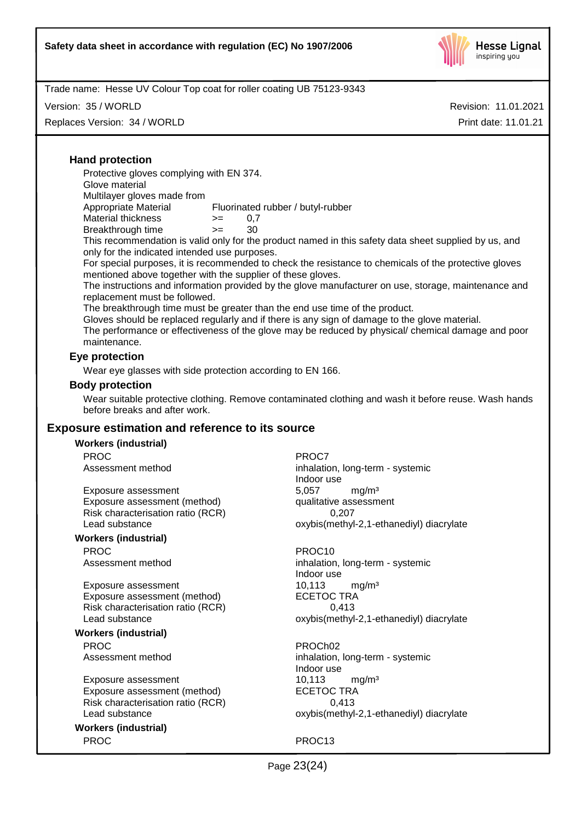

Version: 35 / WORLD

Replaces Version: 34 / WORLD

Revision: 11.01.2021 Print date: 11.01.21

## **Hand protection**

Protective gloves complying with EN 374.

Glove material

Multilayer gloves made from

Appropriate Material Fluorinated rubber / butyl-rubber Material thickness  $> = 0.7$ 

Breakthrough time >= 30

This recommendation is valid only for the product named in this safety data sheet supplied by us, and only for the indicated intended use purposes.

For special purposes, it is recommended to check the resistance to chemicals of the protective gloves mentioned above together with the supplier of these gloves.

The instructions and information provided by the glove manufacturer on use, storage, maintenance and replacement must be followed.

The breakthrough time must be greater than the end use time of the product.

Gloves should be replaced regularly and if there is any sign of damage to the glove material.

The performance or effectiveness of the glove may be reduced by physical/ chemical damage and poor maintenance.

#### **Eye protection**

Wear eye glasses with side protection according to EN 166.

#### **Body protection**

Wear suitable protective clothing. Remove contaminated clothing and wash it before reuse. Wash hands before breaks and after work.

## **Exposure estimation and reference to its source**

#### **Workers (industrial)**

PROC<sup>PROC</sup> PROCT

Exposure assessment and the state of the Superset of the Superset of the Superset Superset Superset of the Expo<br>
Exposure assessment (method) and the qualitative assessment Exposure assessment (method) Risk characterisation ratio (RCR) 0,207

#### **Workers (industrial)**

PROC PROC10

Exposure assessment 10,113 mg/m<sup>3</sup><br>Exposure assessment (method) ECETOC TRA Exposure assessment (method) Risk characterisation ratio (RCR) 0,413 Lead substance oxybis(methyl-2,1-ethanediyl) diacrylate

#### **Workers (industrial)**

PROC PROCHO2

Exposure assessment 10,113 mg/m<sup>3</sup><br>Exposure assessment (method) ECETOC TRA Exposure assessment (method) ECETOC TRA<br>Risk characterisation ratio (RCR) 6.413 Risk characterisation ratio (RCR)

**Workers (industrial)** PROC PROC13

Assessment method inhalation, long-term - systemic Indoor use Lead substance **oxybis(methyl-2,1-ethanediyl)** diacrylate

Assessment method inhalation, long-term - systemic Indoor use

Assessment method inhalation, long-term - systemic Indoor use Lead substance **oxybis(methyl-2,1-ethanediyl)** diacrylate